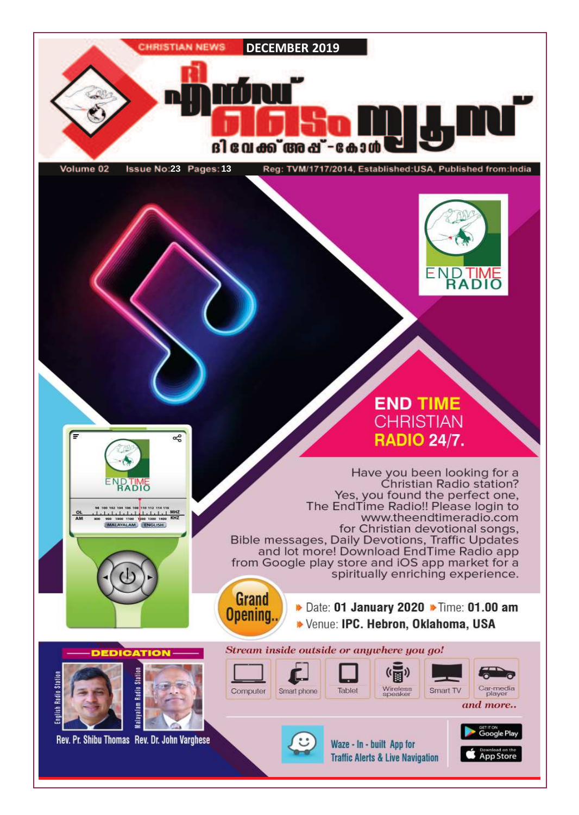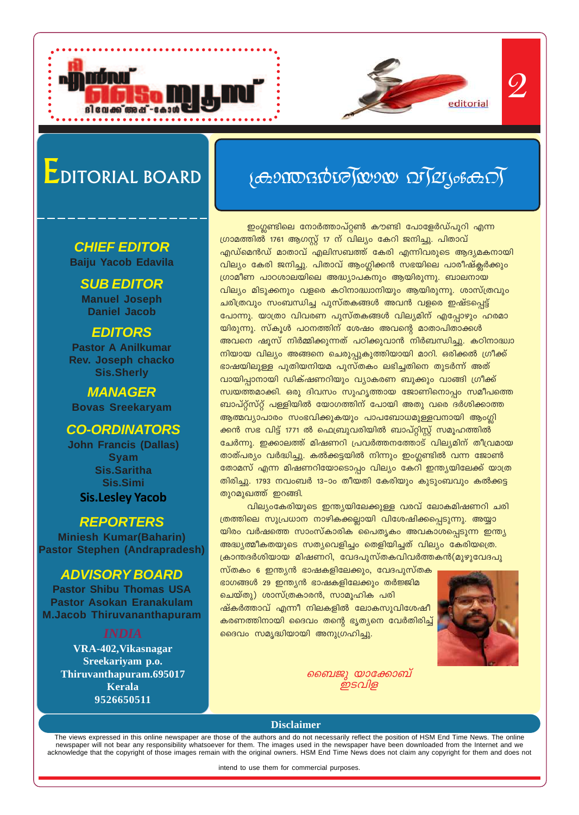

### **CHIEF EDITOR Baiju Yacob Edavila**

**SUB EDITOR Manuel Joseph Daniel Jacob**

### **EDITORS**

**Pastor A Anilkumar Rev. Joseph chacko Sis.Sherly**

**MANAGER Bovas Sreekaryam**

### **CO-ORDINATORS**

**John Francis (Dallas) Syam Sis.Saritha Sis.Simi Sis.Lesley Yacob**

### **REPORTERS**

**Miniesh Kumar(Baharin) Pastor Stephen (Andrapradesh)**

### **ADVISORY BOARD**

**Pastor Shibu Thomas USA Pastor Asokan Eranakulam M.Jacob Thiruvananthapuram**

**VRA-402,Vikasnagar Sreekariyam p.o. Thiruvanthapuram.695017 Kerala 9526650511**

# $\{\sigma_{2}$ ാന്തദർശ $\gamma$ യായ വ $\gamma$ മൃംകെ $\gamma\}$

*\nco-£-I≥*

2

ഇംഗ്ലണ്ടിലെ നോർത്താപ്റ്റൺ കൗണ്ടി പോളേർഡ്പുറി എന്ന ്രഗാമത്തിൽ 1761 ആഗസ്റ്റ് 17 ന് വില്യം കേറി ജനിച്ചു. പിതാവ് എഡ്മെൻഡ് മാതാവ് എലിസബത്ത് കേരി എന്നിവരുടെ ആദ്യമകനായി വില്യം കേരി ജനിച്ചു. പിതാവ് ആംഗ്ലിക്കൻ സഭയിലെ പാരീഷ്ക്ലർക്കും  ${1}$ ഗ്രാമീണ പാഠശാലയിലെ അദ്ധ്യാപകനും ആയിരുന്നു. ബാലനായ വില്യം മിടുക്കനും വളരെ കഠിനാദ്ധ്വാനിയും ആയിരുന്നു. ശാസ്ത്രവും ചരിത്രവും സംബന്ധിച്ച പുസ്തകങ്ങൾ അവൻ വളരെ ഇഷ്ടപ്പെട്ട് പോന്നു. യാത്രാ വിവരണ പുസ്തകങ്ങൾ വില്യമിന് എപ്പോഴും ഹരമാ <u>യിരുന്നു. സ്കൂൾ പഠനത്തിന് ശേഷം അവന്റെ മാതാപിതാക്കൾ</u> അവനെ ഷൂസ് നിർമ്മിക്കുന്നത് പഠിക്കുവാൻ നിർബന്ധിച്ചു. കഠിനാദ്ധ<del>്വാ</del> നിയായ വില്യം അങ്ങനെ ചെരുപ്പുകുത്തിയായി മാറി. ഒരിക്കൽ ഗ്രീക്ക്  $\epsilon$ ാഷയിലുള്ള പുതിയനിയമ പുസ്തകം ലഭിച്ചതിനെ തുടർന്ന് അത് വായിപ്പാനായി ഡിക്ഷണറിയും വ്യാകരണ ബുക്കും വാങ്ങി ഗ്രീക്ക് സ്വയത്തമാക്കി. ഒരു ദിവസം സുഹൃത്തായ ജോണിനൊപ്പം സമീപത്തെ ബാപ്റ്റ്സ്റ്റ് പള്ളിയിൽ യോഗത്തിന് പോയി അതു വരെ ദർശിക്കാത്ത ആത്മവ്യാപാരം സംഭവിക്കുകയും പാപബോധമുള്ളവനായി ആംഗ്ലി ക്കൻ സഭ വിട്ട് 1771 ൽ ഫെബ്രുവരിയിൽ ബാപ്റ്റിസ്റ്റ് സമൂഹത്തിൽ <u>ചേർന്നു. ഇക്കാലത്ത് മിഷണറി പ്രവർത്തനത്തോട് വില്യമിന് തീവ്രമായ</u> താത്പര്യം വർദ്ധിച്ചു. കൽക്കട്ടയിൽ നിന്നും ഇംഗ്ലണ്ടിൽ വന്ന ജോൺ തോമസ് എന്ന മിഷണറിയോടൊപ്പം വില്യം കേറി ഇന്ത്യയിലേക്ക് യാത്ര തിരിച്ചു. 1793 നവംബർ 13–ാം തീയതി കേരിയും കുടുംബവും കൽക്കട്ട തുറമുഖത്ത് ഇറങ്ങി.

hang-ca-an-book-book-book-book-calif-cla-ban-an-an-an-in-book-an-in-an-j-an-in-an-{തത്തിലെ സുപ്രധാന നാഴികക്കല്ലായി വിശേഷിക്കപ്പെടുന്നു. അയ്യാ യിരം വർഷത്തെ സാംസ്കാരിക പൈതൃകം അവകാശപ്പെടുന്ന ഇന്ത്യ അദ്ധ്യത്മീകതയുടെ സത്യവെളിച്ചം തെളിയിച്ചത് വില്യം കേരിയത്രെ. ക്രാന്തദർശിയായ മിഷണറി, വേദപുസ്തകവിവർത്തകൻ(മുഴുവേദപു

<u>സ്തകം 6 ഇന്ത്യൻ ഭാഷകളിലേക്കും, വേദപുസ്തക</u>  $\mathcal{L}$ ാഗങ്ങൾ 29 ഇന്ത്യൻ ഭാഷകളിലേക്കും തർജ്ജിമ ചെയ്തു) ശാസ്ത്രകാരൻ, സാമൂഹിക പരി <u>ഷ്കർത്താവ് എന്നീ നിലകളിൽ ലോകസുവിശേഷീ</u> കരണത്തിനായി ദൈവം തന്റെ ഭൃതൃനെ വേർതിരിച്ച് ദൈവം സമൃദ്ധിയായി അനുഗ്രഹിച്ചു.



*ബൈജൂ യാക്കോബ് ഇടവ്വള* 

**Disclaimer**

The views expressed in this online newspaper are those of the authors and do not necessarily reflect the position of HSM End Time News. The online newspaper will not bear any responsibility whatsoever for them. The images used in the newspaper have been downloaded from the Internet and we acknowledge that the copyright of those images remain with the original owners. HSM End Time News does not claim any copyright for them and does not

intend to use them for commercial purposes.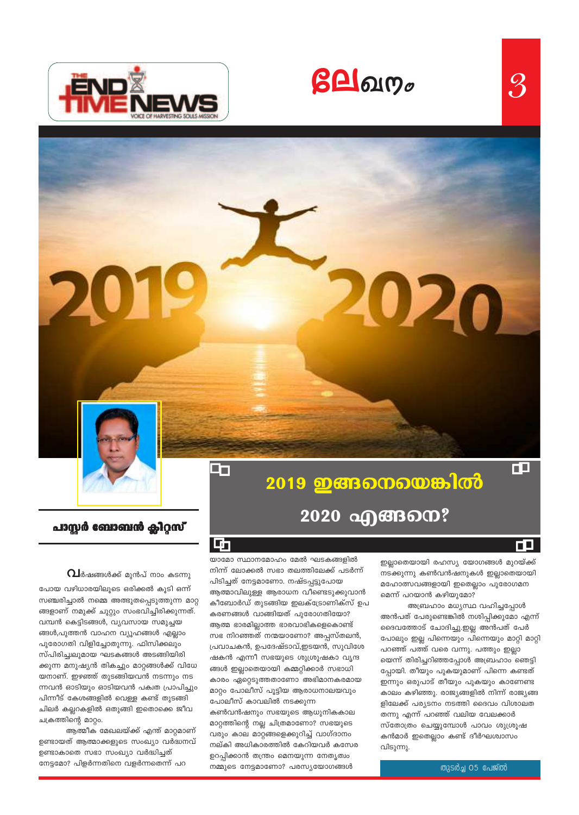$\beta$ **A** $\alpha$ 



<u>2019 ഇങ്ങനെയെങ്കിൽ</u> 2020 வுக்கை?

ГO

ŒΞ

 $\mathcal{S}% _{M_{1},M_{2}}^{(e,\sigma),(e,\sigma)}(-\varepsilon)=-\left( \mathcal{S}% _{M_{1},M_{2}}^{(e,\sigma),(h,-\sigma)}(\varepsilon)\right) ^{\ast}$ 

പാസ്റ്റർ ബോബൻ ക്ലിറ്റസ്

 $\mathbf{\Omega}$ ർഷങ്ങൾക്ക് മുൻപ് നാം കടന്നു

പോയ വഴിധാരയിലൂടെ ഒരിക്കൽ കൂടി ഒന്ന് സഞ്ചരിച്ചാൽ നമ്മെ അത്ഭുതപ്പെടുത്തുന്ന മാറ്റ ങ്ങളാണ് നമുക്ക് ചുറ്റും സംഭവിച്ചിരിക്കുന്നത്. വമ്പൻ കെട്ടിടങ്ങൾ, വ്യവസായ സമുച്ചയ ങ്ങൾ,പുത്തൻ വാഹന വ്യൂഹങ്ങൾ എല്ലാം പുരോഗതി വിളിച്ചോതുന്നു. ഫിസിക്കലും സ്പിരിച്ചഥ്വമായ ഘടകങ്ങൾ അടങ്ങിയിരി ക്കുന്ന മനുഷ്യൻ തികച്ചും മാറ്റങ്ങൾക്ക് വിധേ യനാണ്. ഇഴഞ്ഞ് തുടങ്ങിയവൻ നടന്നും നട ന്നവൻ ഓടിയും ഓടിയവൻ പക്വത പ്രാപിച്ചും പിന്നീട് കേശങ്ങളിൽ വെള്ള കണ്ട് തുടങ്ങി ചിലർ കല്ലറകളിൽ ഒതുങ്ങി ഇതൊക്കെ ജീവ ചക്രത്തിന്റെ മാറ്റം.

ആത്മീക മേഖലയ്ക്ക് എന്ത് മാറ്റമാണ് ഉണ്ടായത് ആത്മാക്കളുടെ സംഖ്യാ വർദ്ധനവ് ഉണ്ടാകാതെ സഭാ സംഖ്യാ വർദ്ധിച്ചത് നേട്ടമോ? പിളർന്നതിനെ വളർന്നതെന്ന് പറ

哂

ug

യാമോ സ്ഥാനമോഹം മേൽ ഘടകങ്ങളിൽ നിന്ന് ലോക്കൽ സഭാ തലത്തിലേക്ക് പടർന്ന് പിടിച്ചത് നേട്ടമാണോ. നഷ്ടപ്പട്ടുപോയ ആത്മാവിലുള്ള ആരാധന വീണ്ടെടുക്കുവാൻ കീബോർഡ് തുടങ്ങിയ ഇലക്ട്രോണിക്സ് ഉപ കരണങ്ങൾ വാങ്ങിയത് പുരോഗതിയോ? ആത്മ ഭാരമില്ലാത്ത ഭാരവാഭികളെകൊണ്ട് സഭ നിറഞ്ഞത് നന്മയാണോ? അപ്പസ്തലൻ, പ്രവാചകൻ, ഉപദേഷ്ടാവ്,ഇടയൻ, സുവിശേ ഷകൻ എന്നീ സഭയുടെ ശുശ്രൂഷകാ വൃന്ദ ങ്ങൾ ഇല്ലാതെയായി കമ്മറ്റിക്കാർ സഭാധി ാരം ഏറ്റെടുത്തതാണോ അഭിമാനകര<mark>മാ</mark>യ മാറ്റം പോലീസ് പൂട്ടിയ ആരാധനാലയവും പോലീസ് കാവലിൽ നടക്കുന്ന കൺവൻഷനും സഭയുടെ ആധുനികകാല മാറ്റത്തിന്റെ നല്ല ചിത്രമാണോ? സഭയുടെ വരും കാല മാറ്റങ്ങളെക്കുറിച്ച് വാഗ്ദാനം നല്കി അധികാരത്തിൽ കേറിയവർ കസേര ഉറപ്പിക്കാൻ തന്ത്രം മെനയുന്ന നേതൃത്വം നമ്മുടെ നേട്ടമാണോ? പരസ്യയോഗങ്ങൾ

ഇല്ലാതെയായി രഹസ്യ യോഗങ്ങൾ മുറയ്ക്ക് നടക്കുന്നു കൺവൻഷനുകൾ ഇല്ലാതെയായി മഹോത്സവങ്ങളായി ഇതെല്ലാം പുരോഗമന മെന്ന് പറയാൻ കഴിയുമോ?

020

അബ്രഹാം മധ്യസ്ഥ വഹിച്ചപ്പോൾ അൻപത് പേരുണ്ടെങ്കിൽ നശിപ്പിക്കുമോ എന്ന് ദൈവത്തോട് ചോദിച്ചു.ഇല്ല അൻപത് പേർ പോലും ഇല്ല പിന്നെയും പിന്നെയും മാറ്റി മാറ്റി പറഞ്ഞ് പത്ത് വരെ വന്നു. പത്തും ഇല്ലാ യെന്ന് തിരിച്ചറിഞ്ഞപ്പോൾ അബ്രഹാം ഞെട്ടി പ്പോയി. തീയും പുകയുമാണ് പിന്നെ കണ്ടത് ഇന്നും ഒരുപാട് തീയും പുകയും കാണേണ്ട കാലം കഴിഞ്ഞു. രാജ്യങ്ങളിൽ നിന്ന് രാജ്യങ്ങ ളിലേക്ക് പര്യടനം നടത്തി ദൈവം വിശാലത തന്നു എന്ന് പറഞ്ഞ് വലിയ വേലക്കാർ സ്തോത്രം ചെയ്യുമ്പോൾ പാവം ശുശ്രൂഷ കൻമാർ ഇതെല്ലാം കണ്ട് ദീർഘശ്വാസം വിടുന്നു.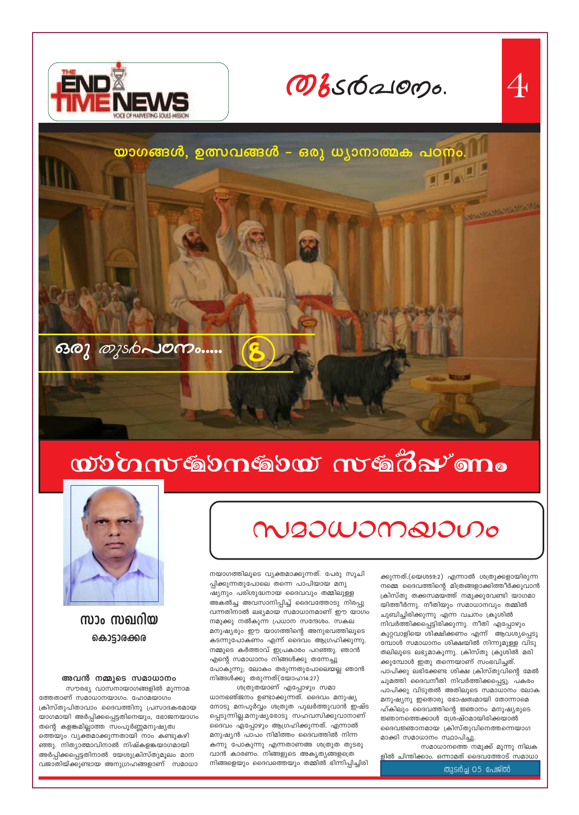#### തുടർച്ച 05 പേജ്ൽ

സമാധാനത്തെ നമുക്ക് മൂന്നു നിലക ളിൽ ചിന്തിക്കാം. ഒന്നാമത് ദൈവത്തോട് സമാധാ

നമ്മെ ദൈവത്തിന്റെ മിത്രങ്ങളാക്കിത്തീർക്കുവാൻ ക്രിസ്തു തക്കസമയത്ത് നമുക്കുവേണ്ടി യാഗമാ യിത്തീർന്നു. നീതിയും സമാധാനവും തമ്മിൽ ചുബിച്ചിരിക്കുന്നു എന്ന വചനം ക്രൂശിൽ നിവർത്തിക്കപ്പെട്ടിരിക്കുന്നു. നീതി എപ്പോഴും കുറ്റവാളിയെ ശിക്ഷിക്കണം എന്ന് ആവശ്യപ്പെടു മ്പോൾ സമാധാനം ശിക്ഷയിൽ നിന്നുമുള്ള വിടു തലിലൂടെ ലഭ്യമാകുന്നു. ക്രിസ്തു ക്രൂശിൽ മരി ക്കുമ്പോൾ ഇതു തന്നെയാണ് സംഭവിച്ചത്. പാപിക്കു ലഭിക്കേണ്ട ശിക്ഷ ക്രിസ്തുവിന്റെ മേൽ ചുമത്തി ദൈവനീതി നിവർത്തിക്കപ്പെട്ടു. പകരം പാപിക്കു വിടുതൽ അതിലൂടെ സമാധാനം ലോക മനുഷ്യനു ഇതൊരു ഭോഷത്വമായി തോന്നാമെ ഹ്കിലും ദൈവത്തിന്റെ ജ്ഞാനം മനുഷ്യരുടെ ജ്ഞാനത്തെക്കാൾ ശ്രേഷ്ഠമായിരിക്കയാൽ ദൈവജ്ഞാനമായ ക്രിസ്തുവിനെത്തന്നെയാഗ മാക്കി സമാധാനം സ്ഥാപിച്ചു.

ക്കുന്നത്.(യെശ59:2) എന്നാൽ ശത്രുക്കളായിരുന്ന

നയാഗത്തിലൂടെ വ്യക്തമാക്കുന്നത്. പേരു സൂചി

ശത്രുതയാണ് എപ്പോഴും സമാ ധാനഭഞ്ജനം ഉണ്ടാക്കുന്നത്. ദൈവം മനുഷ്യ നോടു മനപൂർവ്വം ശത്രുത പുലർത്തുവാൻ ഇഷ്ട പ്പെടുന്നില്ല.മനുഷ്യരോടു സഹവസിക്കുവാനാണ് ദൈവം എപ്പോഴും ആഗ്രഹിക്കുന്നത്. എന്നാൽ മനുഷ്യൻ പാപം നിമിത്തം ദൈവത്തിൽ നിന്ന കന്നു പോകുന്നു എന്നതാണഅ ശത്രുത തുടരു വാൻ കാരണം. നിങ്ങളുടെ അകൃത്യങ്ങളത്രെ നിങ്ങളെയും ദൈവത്തെയും തമ്മിൽ ഭിന്നിപ്പിച്ചിരി

ഷ്യനും പരിശുദ്ധനായ ദൈവവും തമ്മിലുള്ള അകൽച്ച അവസാനിപ്പിച്ച് ദൈവത്തോടു നിരപ്പു വന്നതിനാൽ ലഭ്യമായ സമാധാനമാണ് ഈ യാഗം നമുക്കു നൽകുന്ന പ്രധാന സന്ദേശം. സകല മനുഷ്യരും ഈ യാഗത്തിന്റെ അനുഭവത്തിലൂടെ കടന്നുപോകണം എന്ന് ദൈവം ആഗ്രഹിക്കുന്നു. നമ്മുടെ കർത്താവ് ഇപ്രകാരം പറഞ്ഞു. ഞാൻ എന്റെ സമാധാനം നിങ്ങൾക്കു തന്നേച്ചു പോകുന്നു; ലോകം തരുന്നതുപോലെയല്ല ഞാൻ നിങ്ങൾക്കു തരുന്നത്(യോഹ14:27)

പ്പിക്കുന്നതുപോലെ തന്നെ പാപിയായ മനു

# M20WOMQIOUO







സാം സഖറിയ കൊട്ടാരക്കര

അവൻ നമ്മുടെ സമാധാനം

സൗരഭ്യ വാസനായാഗങ്ങളിൽ മൂന്നാമ ത്തേതാണ് സമാധാനയാഗം. ഹോമയാഗം ക്രിസ്തുപിതാവാം ദൈവത്തിനു പ്രസാദകരമായ യാഗമായി അർപ്പിക്കപ്പെട്ടതിനെയും, ഭോജനയാഗം തന്റെ കളങ്കമില്ലാത്ത സംപൂർണ്ണമനുഷ്യത്വ ത്തെയും വ്യക്തമാക്കുന്നതായി നാം കണ്ടുകഴി ഞ്ഞു. നിത്യാത്മാവിനാൽ നിഷ്കളങ്കയാഗമായി അർപ്പിക്കപ്പെട്ടതിനാൽ യേശുക്രിസ്തുമൂലം മാന വജാതിയ്ക്കുണ്ടായ അനുഗ്രഹങ്ങളാണ് സമാധാ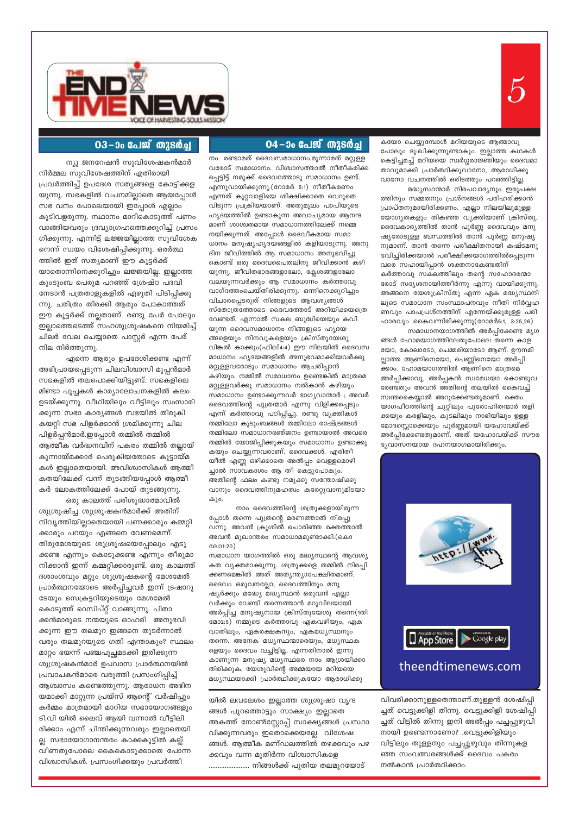

#### 03-ാം പേജ് തുടർച്ച

ന്യൂ ജനറേഷൻ സുവിശേഷകൻമാർ

നിർമ്മല സുവിശേഷത്തിന് എതിരായി പ്രവർത്തിച്ച് ഉപദേശ സത്യങ്ങളെ കോട്ടിക്കള യുന്നു. സഭകളിൽ വചനമില്ലാതെ ആയപ്പോൾ സഭ വനം പോലെയായി ഇപ്പോൾ എല്ലാം കൂടിവളരുന്നു. സ്ഥാനം മാറികൊടുത്ത് പണം വാങ്ങിയവരും ദ്രവ്യാഗ്രഹത്തെക്കുറിച്ച് പ്രസം ഗിക്കുന്നു. എന്നിട്ട് ലജ്ജയില്ലാത്ത സുവിശേക നെന്ന് സ്വയം വിശേഷിപ്പിക്കുന്നു. ഒരർത്ഥ ത്തിൽ ഇത് സത്യമാണ് ഈ കൂട്ടർക്ക് യാതൊന്നിനെക്കുറിച്ചും ലജ്ജയില്ല. ഇല്ലാത്ത കുംടുംബ പെരുമ പറഞ്ഞ് ശ്രേഷ്ഠ പദവി നേടാൻ പത്രതാളുകളിൽ എഴുതി പിടിപ്പിക്കു ന്നു. ചരിത്രം തിരക്കി ആരും പോകാത്തത് ഈ കൂട്ടർക്ക് നല്ലതാണ്. രണ്ടു പേർ പോലും ഇല്ലാത്തെടെത്ത് സഹശുശ്രൂഷകനെ നിയമിച്ച് ചിലർ വേല ചെയ്യാതെ പാസ്റ്റർ എന്ന പേര് നില നിർത്തുന്നു.

എന്നെ ആരും ഉപദേശിക്കണ്ട എന്ന് അഭിപ്രായപ്പെടുന്ന ചിലവിശ്വാസി മൂപ്പൻമാർ സഭകളിൽ തലപൊക്കിയിട്ടുണ്ട്. സഭകളിലെ മിണ്ടാ പൂച്ചകൾ കാര്യാലോചനകളിൽ കലം ഉടയ്ക്കുന്നു. വീഥിയിലും വീട്ടിലും സംസാരി ക്കുന്ന സഭാ കാര്യങ്ങൾ സഭയിൽ തിരുകി കയറ്റി സഭ പിളർക്കാൻ ശ്രമിക്കുന്നു ചില പിളർപ്പൻമാർ.ഇപ്പോൾ തമ്മിൽ തമ്മിൽ ആത്മീക വർദ്ധനവിന് പകരം തമ്മിൽ തല്ലായ് കുന്നായ്മക്കാർ പെരുകിയതോടെ കൂട്ടായ്മ കൾ ഇല്ലാതെയായി. അവിശ്വാസികൾ ആത്മീ കതയിലേക്ക് വന്ന് തുടങ്ങിയപ്പോൾ ആത്മീ കർ ലോകത്തിലേക്ക് പോയ് തുടങ്ങുന്നു.

ഒരു കാലത്ത് പരിശുദ്ധാത്മാവിൽ ശുശ്രൂഷിച്ച ശുശ്രൂഷകൻമാർക്ക് അതിന് നിവൃത്തിയില്ലാതെയായി പണക്കാരും കമ്മറ്റി ക്കാരും പറയും എങ്ങനെ വേണമെന്ന്. തിരുമേശയുടെ ശുശ്രൂഷയെപ്പോലും എടു ക്കണ്ട എന്നും കൊടുക്കണ്ട എന്നും തീരുമാ നിക്കാൻ ഇന്ന് കമ്മറ്റിക്കാരുണ്ട്. ഒരു കാലത്ത് ദശാംശവും മറ്റും ശുശ്രൂഷകന്റെ മേശമേൽ പ്രാർത്ഥനയോടെ അർപ്പിച്ചവർ ഇന്ന് ട്രഷാറു ടേയും സെക്രട്ടറിയുടെയും മേശമേൽ കൊടുത്ത് റെസിപ്റ്റ് വാങ്ങുന്നു. പിതാ ക്കൻമാരുടെ നന്മയുടെ ഓഹരി അനുഭവി ക്കുന്ന ഈ തലമുറ ഇങ്ങനെ തുടർന്നാൽ വരും തലമുറയുടെ ഗതി എന്താകും? സ്ഥലം മാറ്റം ഭയന്ന് പഞ്ചപുച്ഛമടക്കി ഇരിക്കുന്ന ശുശ്രൂഷകൻമാർ ഉപവാസ പ്രാർത്ഥനയിൽ പ്രവാചകൻമാരെ വരുത്തി പ്രസംഗിപ്പിച്ച് ആശ്വാസം കണ്ടെത്തുന്നു. ആരാധന അഭിന യമാക്കി മാറ്റുന്ന പ്രയ്സ് ആന്റെ് വർഷിപ്പും കർമ്മം മാത്രമായി മാറിയ സഭായോഗങ്ങളും ടി.വി യിൽ ലൈവ് ആയി വന്നാൽ വീട്ടിലി രിക്കാം എന്ന് ചിന്തിക്കുന്നവരും ഇല്ലാതെയി ല്ല. സഭായോഗാനന്തരം കാക്കകൂട്ടിൽ കല്ല് വീണതുപോലെ കൈകൊടുക്കാതെ പോന്ന വിശ്വാസികൾ. പ്രസംഗിക്കയും പ്രവർത്തി

യിൽ ലവലേശം ഇല്ലാത്ത ശുശ്രൂഷാ വൃന്ദ ങ്ങൾ പുറത്തൊട്ടും സാക്ഷ്യം ഇല്ലാതെ അകത്ത് നോൺസ്റ്റോപ്പ് സാക്ഷ്യങ്ങൾ പ്രസ്ഥാ വിക്കുന്നവരും ഇതൊക്കെയല്ലേ വിശേഷ ങ്ങൾ. ആത്മീക മണ്ഡലത്തിൽ തഴക്കവും പഴ ക്കവും വന്ന മുതിർന്ന വിശ്വാസികളെ ....................... നിങ്ങൾക്ക് പുതിയ തലമുറയോട്

കത വ്യക്തമാക്കുന്നു. ശത്രുക്കളെ തമ്മിൽ നിരപ്പി ക്കണമെങ്കിൽ അത് അത്യന്ത്യാപേക്ഷിതമാണ്. ദൈവം ഒരുവനല്ലോ; ദൈവത്തിനും മനു ഷ്യർക്കും മദ്ധ്യേ മദ്ധ്യസ്ഥൻ ഒരുവൻ എല്ലാ വർക്കും വേണ്ടി തന്നെത്താൻ മറുവിലയായി അർപ്പിച്ച മനുഷ്യനായ ക്രിസ്തുയേശു തന്നെ(1തി മോ2:5) നമ്മുടെ കർത്താവു ഏകവഴിയും, ഏക വാതിലും, ഏകരക്ഷകനും, ഏകമധൃസ്ഥനും തന്നെ. അനേക മധ്യസ്ഥന്മാരെയും, മധ്യസ്ഥക ളെയും ദൈവം വച്ചിട്ടില്ല. എന്നതിനാൽ ഇന്നു കാണുന്ന മനുഷ്യ മധ്യസ്ഥരെ നാം ആശ്രയിക്കാ തിരിക്കുക. യേശുവിന്റെ അമ്മയായ മറിയയെ മധ്യസ്ഥയാക്കി പ്രാർത്ഥിക്കുകയോ അരാധിക്ക

നാം ദൈവത്തിന്റെ ശത്രുക്കളായിരുന്ന പ്പോൾ തന്നെ പുത്രന്റെ മരണത്താൽ നിരപ്പു വന്നു. അവൻ ക്രൂശിൽ ചൊരിഞ്ഞ രക്തത്താൽ അവൻ മുഖാന്തരം സമാധാമമുണ്ടാക്കി.(കൊ

ലോ1:20) സമാധാന യാഗത്തിൽ ഒരു മദ്ധ്യസ്ഥന്റെ ആവശ്യ ക്കാം. ഹോമയാഗത്തിൽ ആണിനെ മാത്രമെ അർപ്പിക്കാവൂ. അർപ്പകൻ സ്വമേധയാ കൊണ്ടുവ രേണ്ടതും അവൻ അതിന്റെ തലയിൽ കൈവച്ച് സ്വന്തകൈയ്യാൽ അറുക്കേണ്ടതുമാണ്. രക്തം യാഗപീഠത്തിന്റെ ചുറ്റിലും പുരോഹിതന്മാർ തളി ക്കയും കരളിലും, കുടലിലും നാഭിയിലും ഉള്ള മോദസ്സൊക്കെയും പൂർണ്ണമായി യഹോവയ്ക്ക് അർപ്പിക്കേണ്ടതുമാണ്. അത് യഹോവയ്ക്ക് സൗര ഭ്യവാസനയായ ദഹനയാഗമായിരിക്കും.

04–ാം പേജ് തുടർച്ച

നം. രണ്ടാമത് ദൈവസമാധാനം.മൂന്നാമത് മറ്റുള്ള വരോട് സമാധാനം. വിശ്വാസത്താൽ നീതീകരിക്ക പ്പെട്ടിട്ട് നമുക്ക് ദൈവത്തോടു സമാധാനം ഉണ്ട്. എന്നുവായിക്കുന്നു.(റോമർ 5:1) നീതീകരണം എന്നത് കുറ്റവാളിയെ ശിക്ഷിക്കാതെ വെറുതെ വിടുന്ന പ്രക്രിയയാണ്. അതുമൂലം പാപിയുടെ ഹൃദയത്തിൽ ഉണ്ടാകുന്ന അവാച്യമായ ആനന്ദ മാണ് ശാശ്വതമായ സമാധാനത്തിലേക്ക് നമ്മെ നയിക്കുന്നത്. അപ്പോൾ ദൈവീകമായ സമാ ധാനം മനുഷ്യഹൃദയങ്ങളിൽ കളിയാടുന്നു. അനു ദിന ജീവിത്തിൽ ആ സമാധാനം അനുഭവിച്ചു കൊണ്ട് ഒരു ദൈവപൈതലിനു ജീവിക്കാൻ കഴി യുന്നു. ജീവിതഭാരങ്ങളാലോ, ക്ലേശങ്ങളാലോ വലയുന്നവർക്കും ആ സമാധാനം കർത്താവു വാഗ്ദത്തംചെയ്തിരിക്കുന്നു. ഒന്നിനെക്കുറിച്ചും വിചാരപ്പെടരുത് നിങ്ങളുടെ ആവശ്യങ്ങൾ സ്തോത്രത്തോടെ ദൈവത്തോട് അറിയിക്കയത്രെ വേണ്ടത്. എന്നാൽ സകല ബുദ്ധിയെയും കവി യുന്ന ദൈവസമാധാനം നിങ്ങളുടെ ഹൃദയ ങ്ങളെയും നിനവുകളെയും ക്രിസ്തുയേശു വിങ്കൽ കാക്കും(ഫിലി4:4) ഈ നിലയിൽ ദൈവസ മാധാനം ഹൃദയങ്ങളിൽ അനുഭവമാക്കിയവർക്കു മറ്റുള്ളവരോടും സമാധാനം ആചരിപ്പാൻ കഴിയും. നമ്മിൽ സമാധാനം ഉണ്ടെങ്കിൽ മാത്രമെ മറ്റുള്ളവർക്കു സമാധാനം നൽകാൻ കഴിയും സമാധാനം ഉണ്ടാക്കുന്നവർ ഭാഗ്യവാന്മാർ; അവർ ദൈവത്തിന്റെ പുത്രന്മാർ എന്നു വിളിക്കപ്പെടും എന്ന് കർത്താവു പഠിപ്പിച്ചു. രണ്ടു വ്യക്തികൾ തമ്മിലോ കുടുംബങ്ങൾ തമ്മിലോ രാഷ്ട്രങ്ങൾ തമ്മിലോ സമാധാനഭഞ്ജനം ഉണ്ടായാൽ അവരെ തമ്മിൽ യോജിപ്പിക്കുകയും സമാധാനം ഉണ്ടാക്കു കയും ചെയ്യുന്നവരാണ്. ദൈവക്കൾ. എരിതീ യീൽ എണ്ണ ഒഴിക്കാതെ അൽപ്പം വെള്ളമൊഴി ച്ചാൽ സാവകാശം ആ തീ കെട്ടുപോകും. അതിന്റെ ഫലം കണ്ടു നമുക്കു സന്തോഷിക്കു വാനും ദൈവത്തിനുമഹത്വം കരേറ്റുവാനുമിടയാ കും.

കയോ ചെയ്യുമ്പോൾ മറിയയുടെ ആത്മാവു പോലും ദു:ഖിക്കുന്നുണ്ടാകും. ഇല്ലാത്ത കഥകൾ കെട്ടിച്ചമച്ച് മറിയയെ സ്വർഗ്ഗരാജ്ഞിയും ദൈവമാ താവുമാക്കി പ്രാർത്ഥിക്കുവാനോ, ആരാധിക്കു വാനോ വചനത്തിൽ ഒരിടത്തും പറഞ്ഞിട്ടില്ല.

ത്തിനും സമ്മതനും പ്രശ്നങ്ങൾ പരിഹരിക്കാൻ

പ്രാപ്തനുമായിരിക്കണം. എല്ലാ നിലയിലുമുള്ള

യോഗ്യതകളും തികഞ്ഞ വ്യക്തിയാണ് ക്രിസ്തു.

ദൈവകാര്യത്തിൽ താൻ പൂർണ്ണ ദൈവവും മനു

ഷ്യരോടുള്ള ബന്ധത്തിൽ താൻ പൂർണ്ണ മനുഷ്യ

നുമാണ്. താൻ തന്നെ പരീക്ഷിതനായി കഷ്ടമനു

ഭവിച്ചിരിക്കയാൽ പരീക്ഷിക്കയാഗത്തിൽപ്പെടുന്ന

കർത്താവു സകലത്തിലും തന്റെ സഹോദരന്മാ

രോട് സദൃശനായിത്തീർന്നു എന്നു വായിക്കുന്നു.

അങ്ങനെ യേശുക്രിസ്തു എന്ന ഏക മദ്ധ്യസ്ഥനി

ലൂടെ സമാധാന സംസ്ഥാപനവും നീതി നിർവ്വഹ

ണവും പാപപ്രശ്നത്തിന് എന്നേയ്ക്കുമുള്ള പരി

ഹാരവും കൈവന്നിരിക്കുന്നു(റോമർ5:1, 3:25,26)

ങ്ങൾ ഹോമയാഗത്തിലേതുപോലെ തന്നെ കാള

യോ, കോലാടോ, ചെമ്മരിയാടോ ആണ്. ഊനമി

ല്ലാത്ത ആണിനെയോ, പെണ്ണിനെയോ അർപ്പി

സമാധാനയാഗത്തിൽ അർപ്പിക്കേണ്ട മൃഗ

വരെ സഹായിപ്പാൻ ശക്തനാകേണ്ടതിന്

മദ്ധ്യസ്ഥന്മാർ നിരപവാദ്യനും ഇരുപക്ഷ



App Store theendtimenews.com

Google play

വിവരിക്കാനുള്ളതെന്താണ്.തുള്ളൻ ശേഷിപ്പി ച്ചത് വെട്ടുക്കിളി തിന്നു. വെട്ടുക്കിളി ശേഷിപ്പി ച്ചത് വിട്ടിൽ തിന്നു ഇനി അൽപ്പം പച്ചപ്പുഴുവി നായി ഉണ്ടെന്നാണോ? .വെട്ടുക്കിളിയും വിട്ടിലും തുള്ളനും പച്ചപ്പുഴുവും തിന്നുകള ഞ്ഞ സംവത്സരങ്ങൾക്ക് ദൈവം പകരം നൽകാൻ പ്രാർത്ഥിക്കാം.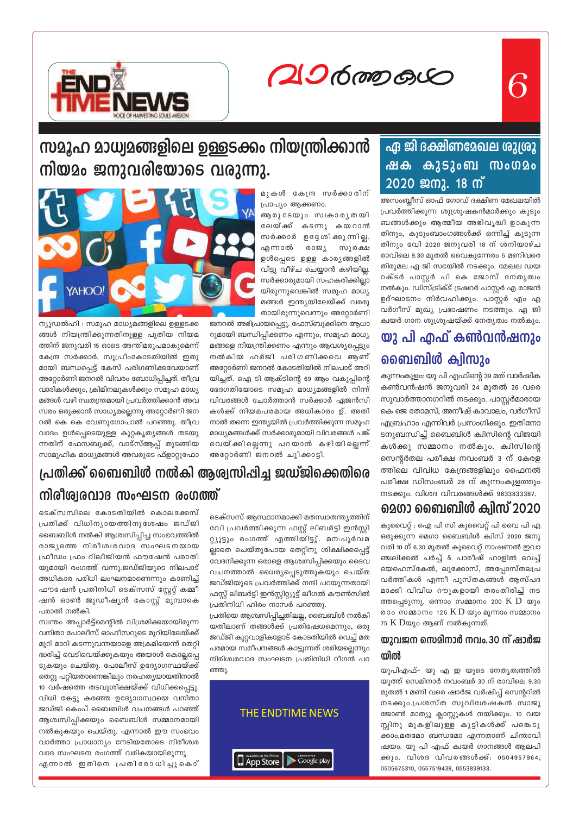20600000



# സമൂഹ മാധ്വമങ്ങളിലെ ഉള്ളടക്കം നിയന്ത്രിക്കാൻ നിയമം ജനുവരിയോടെ വരുന്നു.

മുകൾ കേന്ദ്ര സർക്കാരിന് പ്രാപ്യം ആക്കണം.

ആരുടേയും സ്വകാരൃതയി ലേയ്ക്ക് കടന്നു കയറാൻ സർക്കാർ ഉദ്ദേശിക്കുന്നില്ല. സുരക്ഷ എന്നാൽ രാജ്യ ഉൾപ്പെടെ ഉള്ള കാര്യങ്ങളിൽ വിട്ടു വീഴ്ച ചെയ്യാൻ കഴിയില്ല. സർക്കാരുമായി സഹകരിക്കില്ലാ യിരുന്നുവെങ്കിൽ സമൂഹ മാധ്യ മങ്ങൾ ഇന്ത്യയിലേയ്ക്ക് വരരു തായിരുന്നുവെന്നും അറ്റോർണി

ജനറൽ അഭിപ്രായപ്പെട്ടു. ഫേസ്ബുക്കിനെ ആധാ റുമായി ബന്ധിപ്പിക്കണം എന്നും, സമൂഹ മാധ്യ മങ്ങളെ നിയന്ത്രിക്കണം എന്നും ആവശ്യപ്പെട്ടും നൽകിയ ഹർജി പരിഗണിക്കവെ ആണ് അറ്റോർണി ജനറൽ കോടതിയിൽ നിലപാട് അറി യിച്ചത്. ഐ ടി ആക്ടിന്റെ 69 ആം വകുപ്പിന്റെ ഭേദഗതിയോടെ സമൂഹ മാധ്യമങ്ങളിൽ നിന്ന് വിവരങ്ങൾ ചോർത്താൻ സർക്കാർ ഏജൻസി കൾക്ക് നിയമപരമായ അധികാരം ഉ്. അതി നാൽ തന്നെ ഇന്ത്യയിൽ പ്രവർത്തിക്കുന്ന സമൂഹ മാധ്യമങ്ങൾക്ക് സർക്കാരുമായി വിവരങ്ങൾ പങ്ക് വെയ്ക്കില്ലെന്നു പറയാൻ കഴിയില്ലെന്ന് അറ്റോർണി ജനറൽ ചൂിക്കാട്ടി.



ന്യൂഡൽഹി : സമൂഹ മാധ്യമങ്ങളിലെ ഉള്ളടക്ക ങ്ങൾ നിയന്ത്രിക്കുന്നതിനുള്ള പുതിയ നിയമ ത്തിന് ജനുവരി 15 ഓടെ അന്തിമരൂപമാകുമെന്ന് കേന്ദ്ര സർക്കാർ. സുപ്രീംകോടതിയിൽ ഇതു മായി ബന്ധപ്പെട്ട് കേസ് പരിഗണിക്കവേയാണ് അറ്റോർണി ജനറൽ വിവരം ബോധിപ്പിച്ചത്. തീവ്ര വാദികൾക്കും, ക്രിമിനലുകൾക്കും സമൂഹ മാധ്യ മങ്ങൾ വഴി സ്വതന്ത്രമായി പ്രവർത്തിക്കാൻ അവ സരം ഒരുക്കാൻ സാധ്യമല്ലെന്നു അറ്റോർണി ജന റൽ കെ കെ വേണുഗോപാൽ പറഞ്ഞു. തീവ്ര വാദം ഉൾപ്പെടെയുള്ള കുറ്റകൃത്യങ്ങൾ തടയു ന്നതിന് ഫേസബുക്ക്, വാട്സ്ആപ്പ് തുടങ്ങിയ സാമൂഹിക മാധ്യമങ്ങൾ അവരുടെ ഫ്ളാറ്റുഫോ

# പ്രതിക്ക് ബൈബിൾ നൽകി ആശ്വസിപ്പിച്ച ജഡ്ജിക്കെതിരെ നിരീശ്വരവാദ സംഘടന രംഗത്ത്

ടെക്സസിലെ കോടതിയിൽ കൊലക്കേസ് പ്രതിക്ക് വിധിന്യായത്തിനുശേഷം ജഡ്ജി ബൈബിൾ നൽകി ആശ്വസിപ്പിച്ച സംഭവത്തിൽ രാജ്യത്തെ നിരീശ്വരവാദ സംഘടനയായ ഫ്രീഡം ഫ്രം റിലീജിയൻ ഫൗഷേൻ പരാതി യുമായി രംഗത്ത് വന്നു.ജഡ്ജിയുടെ നിലപാട് അധികാര പരിധി ലംഘനമാണെന്നും കാണിച്ച് ഫൗഷേൻ പ്രതിനിധി ടെക്സസ് സ്റ്റേറ്റ് കമ്മീ ഷൻ ഓൺ ജുഡീഷ്യൻ കോസ്റ്റ് മുമ്പാകെ പരാതി നൽകി.

സ്വന്തം അപ്പാർട്ട്മെന്റിൽ വിശ്രമിക്കയായിരുന്ന വനിതാ പോലീസ് ഓഫീസറുടെ മുറിയിലേയ്ക്ക് മുറി മാറി കടന്നുവന്നയാളെ അക്രമിയെന്ന് തെറ്റി ദ്ധരിച്ച് വെടിവെയ്ക്കുകയും അയാൾ കൊല്ലപ്പെ ടുകയും ചെയ്തു. പോലീസ് ഉദ്യോഗസ്ഥയ്ക്ക് തെറ്റു പറ്റിയതാണെങ്കിലും നരഹത്യയായതിനാൽ 10 വർഷത്തെ തടവുശിക്ഷയ്ക്ക് വിധിക്കപ്പെട്ടു. വിധി കേട്ടു കരഞ്ഞ ഉദ്യോഗസ്ഥയെ വനിതാ ജഡ്ജി കെംപ് ബൈബിൾ വചനങ്ങൾ പറഞ്ഞ് ആശ്വസിപ്പിക്കയും ബൈബിൾ സമ്മാനമായി നൽകുകയും ചെയ്തു. എന്നാൽ ഈ സംഭവം വാർത്താ പ്രാധാന്യം നേടിയതോടെ നിരീശ്വര വാദ സംഘടന രംഗത്ത് വരികയായിരുന്നു.

എന്നാൽ ഇതിനെ പ്രതിരോധിച്ചുകൊ്

ടെക്സസ് ആസ്ഥാനമാക്കി മതസ്വാതന്ത്യത്തിന് വേി പ്രവർത്തിക്കുന്ന ഫസ്റ്റ് ലിബർട്ടി ഇൻസ്റ്റി റ്റ്യൂട്ടും രംഗത്ത് എത്തിയിട്ടു്. മന:പൂർവമ ല്ലാതെ ചെയ്തുപോയ തെറ്റിനു ശിക്ഷിക്കപ്പെട്ട് വേദനിക്കുന്ന ഒരാളെ ആശ്വസിപ്പിക്കയും ദൈവ വചനത്താൽ ധൈര്യപ്പെടുത്തുകയും ചെയ്ത ജഡ്ജിയുടെ പ്രവർത്തിക്ക് നന്ദി പറയുന്നതായി ഫസ്റ്റ് ലിബർട്ടി ഇൻസ്റ്റിറ്റ്യൂട്ട് ലീഗൽ കൗൺസിൽ പ്രതിനിധി ഹിരം നാസർ പറഞ്ഞു.

പ്രതിയെ ആശ്വസിപ്പിച്ചതിലല്ല, ബൈബിൾ നൽകി യതിലാണ് തങ്ങൾക്ക് പ്രതിഷേധമെന്നും, ഒരു ജഡ്ജി കുറ്റവാളികളോട് കോടതിയിൽ വെച്ച് മത പരമായ സമീപനങ്ങൾ കാട്ടുന്നത് ശരിയല്ലെന്നും നിരിശ്വരവാദ സംഘടന പ്രതിനിധി റീഗൻ പറ ഞ്ഞു.



### <u>ഏ ജി ദക്ഷിണമേഖല ശുശ്രൂ</u>  $\bigoplus$  3530 ബ സംഗ $\Omega$ o ഷക 2020 ജനു. 18 ന്

അസംബ്ലീസ് ഓഫ് ഗോഡ് ദക്ഷിണ മേഖലയിൽ പ്രവർത്തിക്കുന്ന ശുശ്രൂഷകൻമാർക്കും കുടും ബങ്ങൾക്കും ആത്മീയ അഭിവൃദ്ധി ഉാകുന്ന തിനും, കുടുംബാംഗങ്ങൾക്ക് ഒന്നിച്ച് കൂടുന്ന തിനും വേി 2020 ജനുവരി 18 ന് ശനിയാഴ്ച രാവിലെ 9.30 മുതൽ വൈകുന്നേരം 5 മണിവരെ തിരുമല ഏ ജി സഭയിൽ നടക്കും. മേഖല ഡയ റക്ടർ പാസ്റ്റർ പി കെ ജോസ് നേതൃത്വം നൽകും. ഡിസ്ട്രിക്ട് ട്രഷറർ പാസ്റ്റർ എ രാജൻ ഉദ്ഘാടനം നിർവഹിക്കും. പാസ്റ്റർ എം എ വർഗീസ് മുഖ്യ പ്രഭാഷണം നടത്തും. ഏ ജി ക്വയർ ഗാന ശുശ്രൂഷയ്ക്ക് നേതൃത്വം നൽകും.

# യു പി എഫ് കൺവൻഷനും ബൈബിൾ ക്വിസും

കുന്നംകുളം: യു പി എഫിന്റെ 39 മത് വാർഷിക കൺവൻഷൻ ജനുവരി 24 മുതൽ 26 വരെ സുവാർത്താനഗറിൽ നടക്കും. പാസ്റ്റർമാരായ കെ ജെ തോമസ്, അനീഷ് കാവാലം, വർഗീസ് എബ്രഹാം എന്നിവർ പ്രസംഗിക്കും. ഇതിനോ ടനുബന്ധിച്ച് ബൈബിൾ ക്വിസിന്റെ വിജയി കൾക്കു സമ്മാനം നൽകും. ക്വിസിന്റെ സെന്റർതല പരീക്ഷ നവംബർ 3 ന് കേരള ത്തിലെ വിവിധ കേന്ദ്രങ്ങളിലും ഫൈനൽ പരീക്ഷ ഡിസംബർ 28 ന് കുന്നംകുളത്തും നടക്കും. വിശദ വിവരങ്ങൾക്ക് 9633833387.

# മെഗാ ബൈബിൾ ക്വിസ് 2020

കുവൈറ്റ് : ഐ പി സി കുവൈറ്റ് പി വൈ പി എ ഒരുക്കുന്ന മെഗാ ബൈബിൾ ക്വിസ് 2020 ജനു വരി 10 ന് 6.30 മുതൽ കുവൈറ്റ് നാഷണൽ ഇവാ ഞ്ചലിക്കൽ ചർച്ച് & പാരീഷ് ഹാളിൽ വെച്ച് യെഹെസ്കേൽ, ലൂക്കോസ്, അപ്പോസ്തലപ്ര വർത്തികൾ എന്നീ പുസ്തകങ്ങൾ ആസ്പദ മാക്കി വിവിധ റൗുകളായി തരംതിരിച്ച് നട ത്തപ്പെടുന്നു. ഒന്നാം സമ്മാനം 200  $K$   $D$  യും രാം സമ്മാനം 125  $KD$  യും മൂന്നാം സമ്മാനം  $75 \text{ K}$  Dയും ആണ് നൽകുന്നത്.

### യുവജന സെമിനാർ നവം. 30 ന് ഷാർജ യിൽ

യുപിഎഫ്– യു എ ഇ യുടെ നേതൃത്വത്തിൽ യൂത്ത് സെമിനാർ നവംബർ 30 ന് രാവിലെ 9.30 മുതൽ 1 മണി വരെ ഷാർജ വർഷിപ്പ് സെന്ററിൽ നടക്കും.പ്രശസ്ത സുവിശേഷകൻ സാജു ജോൺ മാത്യൂ ക്ലാസ്സുകൾ നയിക്കും. 10 വയ സ്സിനു മുകളിലുള്ള കുട്ടികൾക്ക് പങ്കെടു ക്കാം.മതമോ ബന്ധമോ എന്നതാണ് ചിന്താവി ഷയം. യു പി എഫ് ക്വയർ ഗാനങ്ങൾ ആലപി ക്കും. വിശദ വിവരങ്ങൾക്ക്: 0504957964, 0505675310, 0557519438, 0553839133.

6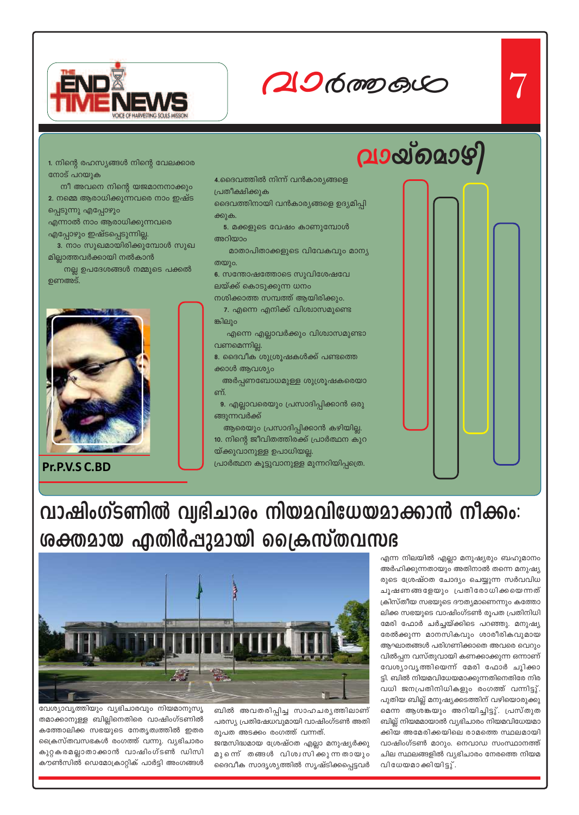

# **hm¿Ø-Iƒ** 7

**hmbvsamgn**

*\nco-£-I≥*

#### 1. നിന്റെ രഹസ്യങ്ങൾ നിന്റെ വേലക്കാര നോട് പറയുക

നീ അവനെ നിന്റെ യജമാനനാക്കും 2. നമ്മെ ആരാധിക്കുന്നവരെ നാം ഇഷ്ട

പ്പെടുന്നു എപ്പോഴും എന്നാൽ നാം ആരാധിക്കുന്നവരെ

എപ്പോഴും ഇഷ്ടപ്പെടുന്നില്ല.

**3.** നാം സുഖമായിരിക്കുമ്പോൾ സുഖ മില്ലാത്തവർക്കായി നൽകാൻ

 $\,$  നല്ല ഉപദേശങ്ങൾ നമ്മുടെ പക്കൽ ഉണഅട്.



**Pr.P.V.S C.BD**

#### 4.ദൈവത്തിൽ നിന്ന് വൻകാരൃങ്ങളെ പ്രതീക്ഷിക്കുക

ദൈവത്തിനായി വൻകാര്യങ്ങളെ ഉദ്യമിപ്പി ക്കുക.

<mark>5</mark>. മക്കളുടെ വേഷം കാണുമ്പോൾ അറിയാം

മാതാപിതാക്കളുടെ വിവേകവും മാന്യ തയും.

6. സന്തോഷത്തോടെ സുവിശേഷവേ ലയ്ക്ക് കൊടുക്കുന്ന ധന<mark>ം</mark>

നശിക്കാത്ത സമ്പത്ത് ആയിരിക്കും. 7. എന്നെ എനിക്ക് വിശ്വാസമുണ്ടെ ങ്കിലും

എന്നെ എല്ലാവർക്കും വിശ്വാസമുണ്ടാ വണമെന്നില്ല.

8. ദൈവീക ശുശ്രൂഷകൾക്ക് പണ്ടത്തെ ക്കാൾ ആവശ്യം

അർപ്പണബോധമുള്ള ശുശ്രൂഷകരെയാ ണ്.

9. എല്ലാവരെയും പ്രസാദിപ്പിക്കാൻ ഒരു ങ്ങുന്നവർക്ക്

ആരെയും പ്രസാദിപ്പിക്കാൻ കഴിയില്ല. **10**. നിന്റെ ജീവിതത്തിരക്ക് പ്രാർത്ഥന കുറ യ്ക്കുവാനുള്ള ഉപാധിയല്ല.

(പാർത്ഥന കൂട്ടുവാനുള്ള മുന്നറിയിപ്പത്രെ.

# വാഷിംഗ്ടണിൽ വ്വഭിചാരം നിയമവിധേയമാക്കാൻ നീക്കം: <u>ശക്തമായ എതിർപ്പുമായി ക്രൈസ്തവസഭ</u>

എന്ന നിലയിൽ എല്ലാ മനുഷ്യരും ബഹുമാനം അർഹിക്കുന്നതായും അതിനാൽ തന്നെ മനുഷ്യ രുടെ ശ്രേഷ്ഠത ചോദ്യം ചെയ്യുന്ന സർവവിധ ചൂഷണങ്ങളേയും പ്രതിരോധിക്കയെന്നത് ക്രിസ്തീയ സഭയുടെ ദൗത്യമാണെന്നും കത്തോ ലിക്ക സഭയുടെ വാഷിംഗ്ടൺ രൂപത പ്രതിനിധി മേരി ഫോർ ചർച്ചയ്ക്കിടെ പറഞ്ഞു. മനുഷ്യ രേൽക്കുന്ന മാനസികവും ശാരീരികവുമായ ആഘാതങ്ങൾ പരിഗണിക്കാതെ അവരെ വെറും വിൽപ്പന വസ്തുവായി കണക്കാക്കുന്ന ഒന്നാണ് വേശ്യാവൃത്തിയെന്ന് മേരി ഫോർ ചൂിക്കാ ട്ടി. ബിൽ നിയമവിധേയമാക്കുന്നതിനെതിരേ നിര വധി ജനപ്രതിനിധികളും രംഗത്ത് വന്നിട്ടു്. പുതിയ ബില്ല് മനുഷ്യക്കടത്തിന് വഴിയൊരുക്കു മെന്ന ആശങ്കയും അറിയിച്ചിട്ടു്. പ്രസ്തുത ബില്ല് നിയമമായാൽ വ്യഭിചാരം നിയമവിധേയമാ ക്കിയ അമേരിക്കയിലെ രാമത്തെ സ്ഥലമായി വാഷിംഗ്ടൺ മാറും. നെവാഡ സംസ്ഥാനത്ത് ചില സ്ഥലങ്ങളിൽ വ്യഭിചാരം നേരത്തെ നിയമ വിധേയമാക്കിയിട്ടു്.



വേശ്യാവൃത്തിയും വൃഭിചാരവും നിയമാനുസൃ തമാക്കാനുള്ള ബില്ലിനെതിരെ വാഷിംഗ്ടണിൽ കത്തോലിക്ക സഭയുടെ നേതൃത്വത്തിൽ ഇതര പ്രൈസ്തവസഭകൾ രംഗത്ത് വന്നു. വ്യഭിചാരം കുറ്റകരമല്ലാതാക്കാൻ വാഷിംഗ്ടൺ ഡിസി കൗൺസിൽ ഡെമോക്രാറ്റിക് പാർട്ടി അംഗങ്ങൾ

ബിൽ അവതരിപ്പിച്ച സാഹചര്യത്തിലാണ് പരസ്യ പ്രതിഷേധവുമായി വാഷിംഗ്ടൺ അതി രൂപത അടക്കം രംഗത്ത് വന്നത്.

ജന്മസിദ്ധമായ ശ്രേഷ്ഠത എല്ലാ മനുഷ്യർക്കു മുന്നെ് തങ്ങൾ വിശ്വസിക്കുന്നതായും ദൈവീക സാദൃശ്യത്തിൽ സൃഷ്ടിക്കപ്പെട്ടവർ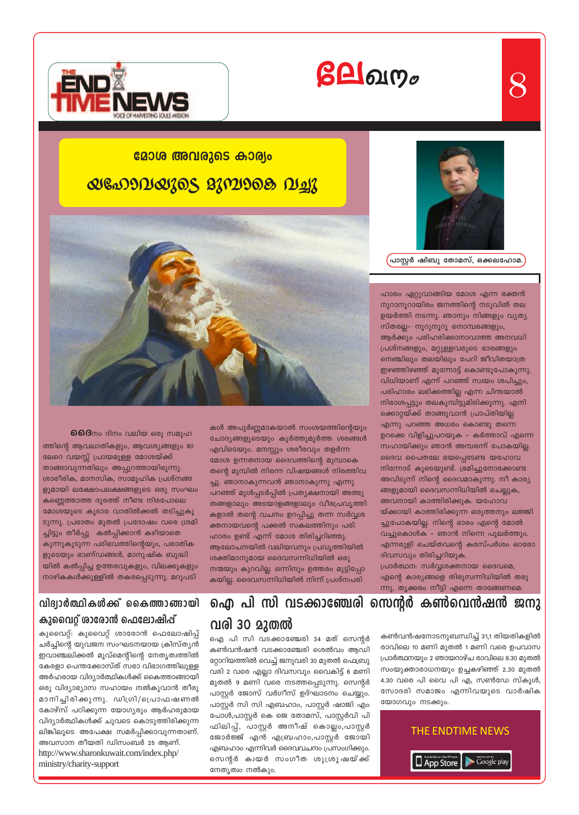

## മോശ അവരുടെ കാര്യം

# *QGDDDQ30S 2302908 DL23*



**6)6ിദ്**നം ദിനം വലിയ ഒരു സമൂഹ ത്തിന്റെ ആവലാതികളും, ആവശ്യങ്ങളും 80 ലേറെ വയസ്സ് പ്രായമുള്ള മോശയ്ക്ക് താങ്ങാവുന്നതിലും അപ്പുറത്തായിരുന്നു. ശാരീരിക, മാനസിക, സാമൂഹിക പ്രശ്നങ്ങ ളുമായി ലക്ഷോപലക്ഷങ്ങളുടെ ഒരു സംഘം കണ്ണെത്താത്ത ദൂരത്ത് നീണ്ട നിരപോലെ മോശയുടെ കൂടാര വാതിൽക്കൽ തടിച്ചുകൂ ടുന്നു. പ്രഭാതം മുതൽ പ്രദോഷം വരെ ശ്രമി ച്ചിട്ടും തീർപ്പു കൽപ്പിക്കാൻ കഴിയാതെ കുന്നുകൂടുന്ന പരിഭവത്തിന്റെയും, പരാതിക ളുടെയും ഭാണ്ഡങ്ങൾ, മാനുഷിക ബുദ്ധി യിൽ കൽപ്പിച്ച ഉത്തരവുകളും, വിലക്കുകളും നാഴികകൾക്കുള്ളിൽ തകരപ്പെടുന്നു. മറുപടി

### വിദ്വാർത്ഥികൾക്ക് കൈത്താങ്ങായി കുവൈറ്റ് ശാരോൻ ഫെലോഷിപ്പ്

കുവൈറ്റ്: കുവൈറ്റ് ശാരോൻ ഫെലോഷിപ്പ് ചർച്ചിന്റെ യുവജന സംഘടനയായ ക്രിസ്ത്യൻ ഇവാഞ്ചലിക്കൽ മൂവ്മെന്റിന്റെ നേതൃത്വത്തിൽ കേരളാ പെന്തക്കോസ്ത് സഭാ വിഭാഗത്തിലുള്ള അർഹരായ വിദ്യാർത്ഥികൾക്ക് കൈത്താങ്ങായി ഒരു വിദ്യാഭ്യാസ സഹായം നൽകുവാൻ തീരു മാനിച്ചിരിക്കുന്നു. ഡിഗ്രി/പ്രൊഫഷണൽ കോഴ്സ് പഠിക്കുന്ന യോഗ്യരും ആർഹരുമായ വിദ്യാർത്ഥികൾക്ക് ചുവടെ കൊടുത്തിരിക്കുന്ന ലിങ്കിലൂടെ അപേക്ഷ സമർപ്പിക്കാവുന്നതാണ്. അവസാന തീയതി ഡിസംബർ 25 ആണ്. http://www.sharonkuwait.com/index.php/ ministry/charity-support

കൾ അപൂർണ്ണമാകയാൽ സംശയത്തിന്റെയും ചോദ്യങ്ങളുടെയും കൂർത്തുമൂർത്ത ശരങ്ങൾ എവിടെയും. മനസ്സും ശരീരവും തളർന്ന മോശ ഉന്നതനായ ദൈവത്തിന്റെ മുമ്പാകെ തന്റെ മുമ്പിൽ നിരന്ന വിഷയങ്ങൾ നിരത്തിവ ച്ചു. ഞാനാകുന്നവൻ ഞാനാകുന്നു എന്നു പറഞ്ഞ് മുൾപ്പടർപ്പിൽ പ്രത്യക്ഷനായി അത്ഭു തങ്ങളാലും അടയാളങ്ങളാലും വീരപ്രവൃത്തി കളാൽ തന്റെ വചനം ഉറപ്പിച്ചു തന്ന സർവ്വശ ക്തനായവന്റെ പക്കൽ സകലത്തിനും പരി ഹാരം ഉണ്ട് എന്ന് മോശ തിരിച്ചറിഞ്ഞു. ആലോചനയിൽ വലിയവനും പ്രവൃത്തിയിൽ ശക്തിമാനുമായ ദൈവസന്നിധിയിൽ ഒരു നന്മയും കുറവില്ല. ഒന്നിനും ഉത്തരം മുട്ടിപ്പോ കയില്ല. ദൈവസന്നിധിയിൽ നിന്ന് പ്രശ്നപരി

ഐ പി സി വടക്കാഞ്ചേരി സെന്റർ കൺവെൻഷൻ ജനു വരി 30 മുതൽ

ഐ പി സി വടക്കാഞ്ചേരി 34 മത് സെന്റർ കൺവൻഷൻ വടക്കാഞ്ചേരി ശെൽവം ആഡി റ്റോറിയത്തിൽ വെച്ച് ജനുവരി 30 മുതൽ ഫെബ്രു വരി 2 വരെ എല്ലാ ദിവസവും വൈകിട്ട് 6 മണി മുതൽ 9 മണി വരെ നടത്തപ്പെടുന്നു. സെന്റർ പാസ്ലർ ജോസ് വർഗീസ് ഉദ്ഘാടനം ചെയ്യും. പാസ്റ്റർ സി സി എബഹാം, പാസ്റ്റർ ഷാജി എം പോൾ,പാസ്റ്റർ കെ ജെ തോമസ്, പാസ്റ്റർവി പി ഫിലിപ്പ്, പാസ്റ്റർ അനീഷ് കൊല്ലം,പാസ്റ്റർ ജോർജ്ജ് എൻ എബ്രഹാം,പാസ്റ്റർ ജോയി എബഹാം എന്നിവർ ദൈവവചനം പ്രസംഗിക്കും. സെന്റർ കായർ സംഗീത ശുശ്രൂഷയ്ക്ക് നേതൃത്വം നൽകും.





ന്നു, തൃക്കരം നീട്ടി എന്നെ താങ്ങേണമെ.



്പാസ്റ്റർ ഷിബു തോമസ്, ഒക്കലഹോമ.

ഹാരം ഏറ്റുവാങ്ങിയ മോശ എന്ന ഭക്തൻ നൂറാനൂറായിരം ജനത്തിന്റെ നടുവിൽ തല ഉയർത്തി നടന്നു. ഞാനും നിങ്ങളും വ്യത്യ സ്തരല്ല– നൂറുനൂറു നൊമ്പരങ്ങളും, ആർക്കും പരിഹരിക്കാനാവാത്ത അനവധി പ്രശ്നങ്ങളും, മറ്റുള്ളവരുടെ ഭാരങ്ങളും നെഞ്ചിലും തലയിലും പേറി ജീവിതയാത്ര ഇഴഞ്ഞിഴഞ്ഞ് മുന്നോട്ട് കൊണ്ടുപോകുന്നു. വിധിയാണ് എന്ന് പറഞ്ഞ് സ്വയം ശപിച്ചും, പരിഹാരം ലഭിക്കത്തില്ല എന്ന ചിന്തയാൽ നിരാശപ്പട്ടും തലകുമ്പിട്ടുമിരിക്കുന്നു. എനി ക്കൊറ്റയ്ക്ക് താങ്ങുവാൻ പ്രാപ്തിയില്ല എന്നു പറഞ്ഞ അധരം കൊണ്ടു തന്നെ ഉറക്കെ വിളിച്ചുപറയുക – കർത്താവ് എന്നെ സഹായിക്കും ഞാൻ അമ്പരന്ന് പോകയില്ല. ദൈവ പൈതലേ ഭയപ്പെടേണ്ട യഹോവ നിന്നോട് കൂടെയുണ്ട്. ഭ്രമിച്ചുനോക്കോണ്ട അവിടുന്ന് നിന്റെ ദൈവമാകുന്നു. നീ കാര്യ ങ്ങളുമായി ദൈവസന്നിധിയിൽ ചെല്ലുക,

അവനായി കാത്തിരിക്കുക. യഹോവ യ്ക്കായി കാത്തിരിക്കുന്ന ഒരുത്തനും ലജ്ജി ച്ചുപോകയില്ല. നിന്റെ ഭാരം എന്റെ മോൽ വച്ചുകൊൾക – ഞാൻ നിന്നെ പുലർത്തും. എന്നരുളി ചെയ്തവന്റെ കരസ്പർശം ഓരോ ദിവസവും തിരിച്ചറിയുക.

പ്രാർത്ഥന: സർവ്വശക്തനായ ദൈവമെ, എന്റെ കാര്യങ്ങളെ തിരുസന്നിധിയിൽ തരു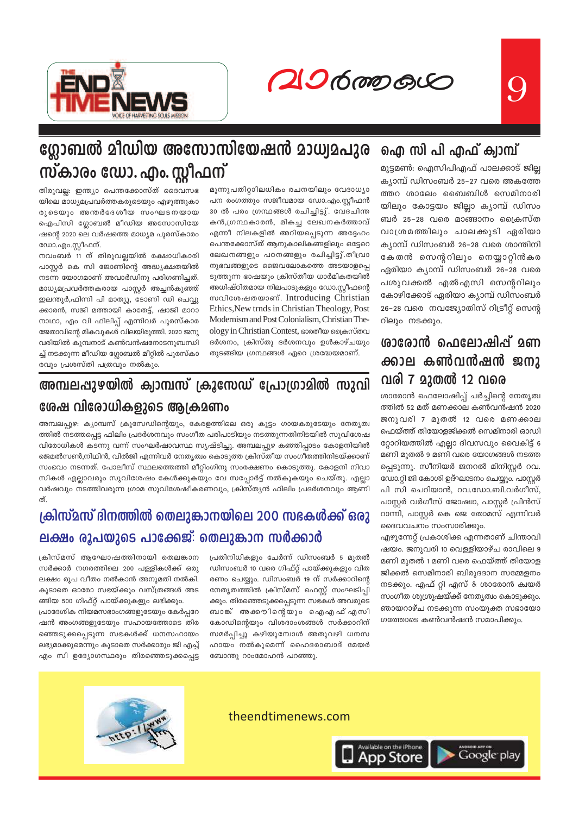20600000



# ഗ്ലോബൽ മീഡിയ അസോസിയേഷൻ മാധ്വമപുര സ്കാരം ഡോ. എം. സ്റ്റീഫന്

തിരുവല്ല: ഇന്ത്യാ പെന്തക്കോസ്ത് ദൈവസഭ യിലെ മാധ്യമപ്രവർത്തകരുടെയും എഴുത്തുകാ രുടെയും അന്തർദേശീയ സംഘടനയായ ഐപിസി ഗ്ലോബൽ മീഡിയ അസോസിയേ ഷന്റെ 2020 ലെ വർഷത്തെ മാധ്യമ പുരസ്കാരം ഡോ.എം.സ്റ്റീഫന്.

നവംബർ 11 ന് തിരുവല്ലയിൽ രക്ഷാധികാരി പാസ്റ്റർ കെ സി ജോണിന്റെ അദ്ധ്യക്ഷതയിൽ നടന്ന യോഗമാണ് അവാർഡിനു പരിഗണിച്ചത്. മാധ്യമപ്രവർത്തകരായ പാസ്റ്റർ അച്ചൻകുഞ്ഞ് ഇലന്തൂർ,ഫിന്നി പി മാത്യൂ, ടോണി ഡി ചെവ്വൂ ക്കാരൻ, സജി മത്തായി കാതേട്ട്, ഷാജി മാറാ നാഥാ, എം വി ഫിലിപ്പ് എന്നിവർ പുരസ്കാര ജേതാവിന്റെ മികവുകൾ വിലയിരുത്തി. 2020 ജനു വരിയിൽ കുമ്പനാട് കൺവൻഷനോടനുബന്ധി ച്ച് നടക്കുന്ന മീഡിയ ഗ്ലോബൽ മീറ്റിൽ പുരസ്കാ രവും പ്രശസ്തി പത്രവും നൽകും.

മൂന്നുപതിറ്റാിലധികം രചനയിലും വേദാധ്യാ പന രംഗത്തും സജീവമായ ഡോ.എം.സ്റ്റീഫൻ 30 ൽ പരം ഗ്രന്ഥങ്ങൾ രചിച്ചിട്ടു്. വേദചിന്ത കൻ,ഗ്രന്ഥകാരൻ, മികച്ച ലേഖനകർത്താവ് എന്നീ നിലകളിൽ അറിയപ്പെടുന്ന അദ്ദേഹം പെന്തക്കോസ്ത് ആനുകാലികങ്ങളിലും ഒട്ടേറെ ലേഖനങ്ങളും പഠനങ്ങളും രചിച്ചിട്ടു്.തീവ്രാ നുഭവങ്ങളുടെ ജൈവലോകത്തെ അടയാളപ്പെ ടുത്തുന്ന ഭാഷയും ക്രിസ്തീയ ധാർമികതയിൽ അധിഷ്ഠിതമായ നിലപാടുകളും ഡോ.സ്റ്റീഫന്റെ സവിശേഷതയാണ്. Introducing Christian Ethics, New trnds in Christian Theology, Post Modernism and Post Colonialism, Christian Theology in Christian Contest, ഭാരതീയ ക്രൈസ്തവ ദർശനം, ക്രിസ്തു ദർശനവും ഉൾകാഴ്ചയും തുടങ്ങിയ ഗ്രന്ഥങ്ങൾ ഏറെ ശ്രദ്ധേയമാണ്.

# അമ്പലപ്പുഴയിൽ ക്വാമ്പസ് ക്രൂസേഡ് പ്രോഗ്രാമിൽ സുവി

## ശേഷ വിരോധികളുടെ ആക്രമണം

അമ്പലപ്പുഴ: ക്യാമ്പസ് ക്രൂസേഡിന്റെയും, കേരളത്തിലെ ഒരു കൂട്ടം ഗായകരുടേയും നേതൃത്വ ത്തിൽ നടത്തപ്പെട്ട ഫിലിം പ്രദർശനവും സംഗീത പരിപാടിയും നടത്തുന്നതിനിടയിൽ സുവിശേഷ വിരോധികൾ കടന്നു വന്ന് സംഘർഷാവസ്ഥ സൃഷ്ടിച്ചു. അമ്പലപ്പുഴ കഞ്ഞിപ്പാടം കോളനിയിൽ ജെമൽസൺ,നിഥിൻ, വിൽജി എന്നിവർ നേതൃത്വം കൊടുത്ത ക്രിസ്തീയ സംഗീതത്തിനിടയ്ക്കാണ് സംഭവം നടന്നത്. പോലീസ് സ്ഥലത്തെത്തി മീറ്റിംഗിനു സംരക്ഷണം കൊടുത്തു. കോളനി നിവാ സികൾ എല്ലാവരും സുവിശേഷം കേൾക്കുകയും വേ സപ്പോർട്ട് നൽകുകയും ചെയ്തു. എല്ലാ വർഷവും നടത്തിവരുന്ന ഗ്രാമ സുവിശേഷീകരണവും, ക്രിസ്തൃൻ ഫിലിം പ്രദർശനവും ആണി ത്.

# ക്രിസ്മസ് ദിനത്തിൽ തെലുങ്കാനയിലെ 200 സഭകൾക്ക് ഒരു ലക്ഷം രൂപയുടെ പാക്കേജ്: തെലുങ്കാന സർക്കാർ

ക്രിസ്മസ് ആഘോഷത്തിനായി തെലങ്കാന സർക്കാർ നഗരത്തിലെ 200 പള്ളികൾക്ക് ഒരു ലക്ഷം രൂപ വീതം നൽകാൻ അനുമതി നൽകി. കൂടാതെ ഓരോ സഭയ്ക്കും വസ്ത്രങ്ങൾ അട ങ്ങിയ 500 ഗിഫ്റ്റ് പായ്ക്കുകളും ലഭിക്കും.

പ്രാദേശിക നിയമസഭാംഗങ്ങളുടേയും കേർപ്പറേ ഷൻ അംഗങ്ങളുടേയും സഹായത്തോടെ തിര ഞ്ഞെടുക്കപ്പെടുന്ന സഭകൾക്ക് ധനസഹായം ലഭ്യമാക്കുമെന്നും കൂടാതെ സർക്കാരും ജി എച്ച് എം സി ഉദ്യോഗസ്ഥരും തിരഞ്ഞെടുക്കപ്പെട്ട പ്രതിനിധികളും ചേർന്ന് ഡിസംബർ 5 മുതൽ ഡിസംബർ 10 വരെ ഗിഫ്റ്റ് പായ്ക്കുകളും വിത രണം ചെയ്യും. ഡിസംബർ 19 ന് സർക്കാറിന്റെ നേതൃത്വത്തിൽ ക്രിസ്മസ് ഫെസ്റ്റ് സംഘടിപ്പി ക്കും. തിരഞ്ഞെടുക്കപ്പെടുന്ന സഭകൾ അവരുടെ ബാങ് അക്കൗിന്റെയും ഐഎഫ്എസി കോഡിന്റെയും വിശദാംശങ്ങൾ സർക്കാറിന് സമർപ്പിച്ചു കഴിയുമ്പോൾ അതുവഴി ധനസ ഹായം നൽകുമെന്ന് ഹൈദരാബാദ് മേയർ ബോന്തു റാംമോഹൻ പറഞ്ഞു.

# ഐ സി പി എഫ് ക്വാമ്പ്

മുട്ടമൺ: ഐസിപിഎഫ് പാലക്കാട് ജില്ല ക്യാമ്പ് ഡിസംബർ 25–27 വരെ അകത്തേ ത്തറ ശാലേം ബൈബിൾ സെമിനാരി യിലും കോട്ടയം ജില്ലാ ക്യാമ്പ് ഡിസം ബർ 25–28 വരെ മാങ്ങാനം ക്രൈസ്ത വാശ്രമത്തിലും ചാലക്കുടി ഏരിയാ ക്യാമ്പ് ഡിസംബർ 26–28 വരെ ശാന്തിനി കേതൻ സെന്ററിലും നെയ്യാറ്റിൻകര ഏരിയാ ക്യാമ്പ് ഡിസംബർ 26–28 വരെ പശുവക്കൽ എൽഎസി സെന്ററിലും കോഴിക്കോട് ഏരിയാ ക്യാമ്പ് ഡിസംബർ 26–28 വരെ നവജ്യോതിസ് റിട്രീറ്റ് സെന്റ റിലും നടക്കും.

# ശാരോൻ ഫെലോഷിപ്പ് മണ ക്കാല കൺവൻഷൻ ജനു വരി 7 മുതൽ 12 വരെ

ശാരോൻ ഫെലോഷിപ്പ് ചർച്ചിന്റെ നേതൃത്വ ത്തിൽ 52 മത് മണക്കാല കൺവൻഷൻ 2020 ജനുവരി 7 മുതൽ 12 വരെ മണക്കാല ഫെയ്ത്ത് തിയോളജിക്കൽ സെമിനാരി ഓഡി റ്റോറിയത്തിൽ എല്ലാ ദിവസവും വൈകിട്ട് 6 മണി മുതൽ 9 മണി വരെ യോഗങ്ങൾ നടത്ത പ്പെടുന്നു. സീനിയർ ജനറൽ മിനിസ്റ്റർ റവ. ഡോ.റ്റി ജി കോശി ഉദ്ഘാടനം ചെയ്യും. പാസ്റ്റർ പി സി ചെറിയാൻ, റവ.ഡോ.ബി.വർഗീസ്, പാസ്റ്റർ വർഗീസ് ജോഷ്വാ, പാസ്റ്റർ പ്രിൻസ് റാന്നി, പാസ്റ്റർ കെ ജെ തോമസ് എന്നിവർ ദൈവവചനം സംസാരിക്കും.

എഴുന്നേറ്റ് പ്രകാശിക്ക എന്നതാണ് ചിന്താവി ഷയം. ജനുവരി 10 വെള്ളിയാഴ്ച രാവിലെ 9 മണി മുതൽ 1 മണി വരെ ഫെയ്ത്ത് തിയോള ജിക്കൽ സെമിനാരി ബിരുദദാന സമ്മേളനം നടക്കും. എഫ് റ്റി എസ് & ശാരോൻ ക്വയർ സംഗീത ശുശ്രൂഷയ്ക്ക് നേതൃത്വം കൊടുക്കും. ഞായറാഴ്ച നടക്കുന്ന സംയുക്ത സഭായോ ഗത്തോടെ കൺവൻഷൻ സമാപിക്കും.



### theendtimenews.com

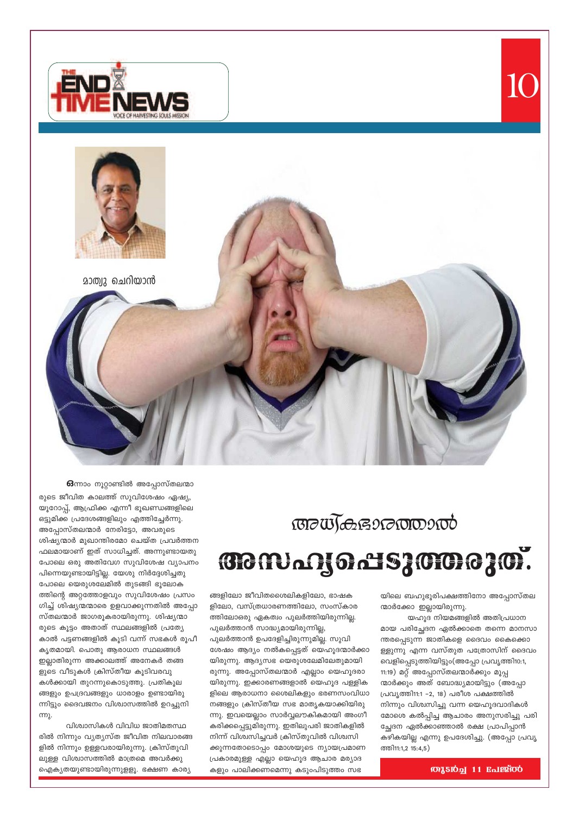



63ന്നാം നൂറ്റാണ്ടിൽ അപ്പോസ്തലന്മാ രുടെ ജീവിത കാലത്ത് സുവിശേഷം ഏഷ്യ, യൂറോപ്പ്, ആഫ്രിക്ക എന്നീ ഭൂഖണ്ഡങ്ങളിലെ ഒട്ടുമിക്ക പ്രദേശങ്ങളിലും എത്തിച്ചേർന്നു. അപ്പോസ്തലന്മാർ നേരിട്ടോ, അവരുടെ ശിഷ്യന്മാർ മുഖാന്തിരമോ ചെയ്ത പ്രവർത്തന ഫലമായാണ് ഇത് സാധിച്ചത്. അന്നുണ്ടായതു പോലെ ഒരു അതിവേഗ സുവിശേഷ വ്യാപനം പിന്നെയുണ്ടായിട്ടില്ല. യേശു നിർദ്ദേശിച്ചതു പോലെ യെരുശലേമിൽ തുടങ്ങി ഭൂലോക ത്തിന്റെ അറ്റത്തോളവും സുവിശേഷം പ്രസം ഗിച്ച് ശിഷ്യന്മന്മാരെ ഉളവാക്കുന്നതിൽ അപ്പോ സ്തലന്മാർ ജാഗരൂകരായിരുന്നു. ശിഷ്യന്മാ രുടെ കൂട്ടം അതാത് സ്ഥലങ്ങളിൽ പ്രത്യേ കാൽ പട്ടണങ്ങളിൽ കൂടി വന്ന് സഭകൾ രൂപീ കൃതമായി. പൊതു ആരാധന സ്ഥലങ്ങൾ ഇല്ലാതിരുന്ന അക്കാലത്ത് അനേകർ തങ്ങ ളുടെ വീടുകൾ ക്രിസ്തീയ കൂടിവരവു കൾക്കായി തുറന്നുകൊടുത്തു. പ്രതികൂല ങ്ങളും ഉപദ്രവങ്ങളും ധാരാളം ഉണ്ടായിരു ന്നിട്ടും ദൈവജനം വിശ്വാസത്തിൽ ഉറച്ചുനി ന്നു.

വിശ്വാസികൾ വിവിധ ജാതിമതസ്ഥ രിൽ നിന്നും വ്യത്യസ്ത ജീവിത നിലവാരങ്ങ ളിൽ നിന്നും ഉള്ളവരായിരുന്നു. ക്രിസ്തുവി ലുള്ള വിശ്വാസത്തിൽ മാത്രമെ അവർക്കു ഐക്യതയുണ്ടായിരുന്നുളളൂ. ഭക്ഷണ കാര്യ

**BOWGGGOOOOOOOO** 

**BONAY GASJOOCJO.** 

ങ്ങളിലോ ജീവിതശൈലികളിലോ, ഭാഷക ളിലോ, വസ്ത്രധാരണത്തിലോ, സംസ്കാര ത്തിലോഒരു ഏകത്വം പുലർത്തിയിരുന്നില്ല. പുലർത്താൻ സാദ്ധ്യമായിരുന്നില്ല, പുലർത്താൻ ഉപദേളിച്ചിരുന്നുമില്ല. സുവി ശേഷം ആദ്യം നൽകപ്പെട്ടത് യെഹൂദന്മാർക്കാ യിരുന്നു. ആദ്യസഭ യെരുശലേമിലേതുമായി രുന്നു. അപ്പോസ്തലന്മാർ എല്ലാം യെഹൂദരാ യിരുന്നു. ഇക്കാരണങ്ങളാൽ യെഹൂദ പള്ളിക ളിലെ ആരാധനാ ശൈലികളും ഭരണസംവിധാ നങ്ങളും ക്രിസ്തീയ സഭ മാതൃകയാക്കിയിരു ന്നു. ഇവയെല്ലാം സാർവ്വലൗകികമായി അംഗീ കരിക്കപ്പെട്ടുമിരുന്നു. ഇതിലുപരി ജാതികളിൽ നിന്ന് വിശ്വസിച്ചവർ ക്രിസ്തുവിൽ വിശ്വസി ക്കുന്നതോടൊപ്പം മോശയുടെ ന്യായപ്രമാണ പ്രകാരമുള്ള എല്ലാ യെഹൂദ ആചാര മര്യാദ കളും പാലിക്കണമെന്നു കടുംപിടുത്ത<mark>ം</mark> സഭ

യിലെ ബഹുഭൂരിപക്ഷത്തിനോ അപ്പോസ്തല ന്മാർക്കോ ഇല്ലായിരുന്നു.

IC

യഹൂദ നിയമങ്ങളിൽ അതിപ്രധാന മായ പരിച്ചേദന ഏൽക്കാതെ തന്നെ മാനസാ ന്തരപ്പെടുന്ന ജാതികളെ ദൈവം കൈക്കൊ ള്ളുന്നു എന്ന വസ്തുത പത്രോസിന് ദൈവം വെളിപ്പെടുത്തിയിട്ടും(അപ്പോ പ്രവൃത്തി10:1, 11:19) മറ്റ് അപ്പോസ്തലന്മാർക്കും മൂപ്പ ന്മാർക്കും അത് ബോദ്ധ്യമായിട്ടും (അപ്പോ പ്രവൃത്തി11:1 -2, 18) പരീശ പക്ഷത്തിൽ നിന്നും വിശ്വസിച്ചു വന്ന യെഹൂദവാദികൾ മോശെ കൽപ്പിച്ച ആചാരം അനുസരിച്ചു പരി ച്ഛേദന ഏൽക്കാഞ്ഞാൽ രക്ഷ പ്രാപിപ്പാൻ കഴികയില്ല എന്നു ഉപദേശിച്ചു. (അപ്പോ പ്രവൃ ത്തി11:1,2 15:4,5)

**OUTED** 11 Enlerop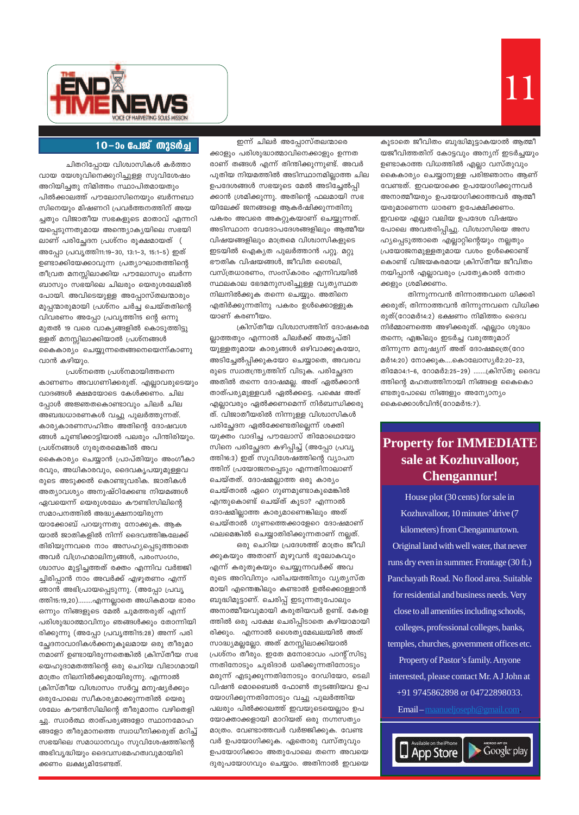

### 10-00 പേജ് തുടർച്ച

ചിതറിപ്പോയ വിശ്വാസികൾ കർത്താ വായ യേശുവിനെക്കുറിച്ചുള്ള സുവിശേഷം അറിയിച്ചതു നിമിത്തം സ്ഥാപിതമായതും പിൽക്കാലത്ത് പൗലോസിനെയും ബർന്നബാ സിനെയും മിഷണറി പ്രവർത്തനത്തിന് അയ ച്ചതും വിജാതീയ സഭകളുടെ മാതാവ് എന്നറി യപ്പെടുന്നതുമായ അന്ത്യൊകൃയിലെ സഭയി ലാണ് പരിച്ഛേദന പ്രശ്നം രൂക്ഷമായത് ( അപ്പോ പ്രവൃത്തി11:19–30, 13:1–3, 15:1–5) ഇത് ഉണ്ടാക്കിയേക്കാവുന്ന പ്രത്യാഘാതത്തിന്റെ തീവ്രത മനസ്സിലാക്കിയ പൗലോസും ബർന്ന ബാസും സഭയിലെ ചിലരും യെരുശലേമിൽ പോയി. അവിടെയുള്ള അപ്പോസ്തലന്മാരും മൂപ്പന്മാരുമായി പ്രശ്നം ചർച്ച ചെയ്തതിന്റെ വിവരണം അപ്പോ പ്രവൃത്തി15 ന്റെ ഒന്നു മുതൽ 19 വരെ വാക്യങ്ങളിൽ കൊടുത്തിട്ടു ള്ളത് മനസ്സിലാക്കിയാൽ പ്രശ്നങ്ങൾ കൈകാര്യം ചെയ്യുന്നതെങ്ങനെയെന്ന്കാണു വാൻ കഴിയും.

പ്രശ്നത്തെ പ്രശ്നമായിത്തന്നെ കാണണം അവഗണിക്കരുത്. എല്ലാവരുടെയും വാദങ്ങൾ ക്ഷമയോടെ കേൾക്കണം. ചില പ്പോൾ അജ്ഞതകൊണ്ടാവും ചിലർ ചില അബദ്ധധാരണകൾ വച്ചു പുലർത്തുന്നത്. കാര്യകാരണസഹിതം അതിന്റെ ദോഷവശ ങ്ങൾ ചൂണ്ടിക്കാട്ടിയാൽ പലരും പിന്തിരിയും. പ്രശ്നങ്ങൾ ഗുരുതരമെങ്കിൽ അവ കൈകാര്യം ചെയ്യാൻ പ്രാപ്തിയും അംഗീകാ രവും, അധികാരവും, ദൈവകൃപയുമുള്ളവ രുടെ അടുക്കൽ കൊണ്ടുവരിക. ജാതികൾ അത്യാവശ്യം അനുഷ്ഠിക്കേണ്ട നിയമങ്ങൾ ഏവയെന്ന് യെരുശലേം കൗണ്ടിസിലിന്റെ സമാപനത്തിൽ അദ്ധ്യക്ഷനായിരുന്ന യാക്കോബ് പറയുന്നതു നോക്കുക. ആക യാൽ ജാതികളിൽ നിന്ന് ദൈവത്തിങ്കലേക്ക് തിരിയുന്നവരെ നാം അസഹ്യപ്പെടുത്താതെ അവർ വിഗ്രഹമാലിനൃങ്ങൾ, പരംസംഗം, ശ്വാസം മുട്ടിച്ചത്തത് രക്തം എന്നിവ വർജ്ജി ച്ചിരിപ്പാൻ നാം അവർക്ക് എഴുതണം എന്ന് ഞാൻ അഭിപ്രായപ്പെടുന്നു. (അപ്പോ പ്രവൃ ത്തി15:19,20)........എന്നല്ലാതെ അധികമായ ഭാരം ഒന്നും നിങ്ങളുടെ മേൽ ചുമത്തരുത് എന്ന് പരിശുദ്ധാത്മാവിനും ഞങ്ങൾക്കും തോന്നിയി രിക്കുന്നു (അപ്പോ പ്രവൃത്തി15:28) അന്ന് പരി ച്ഛേദനാവാദികൾക്കനുകൂലമായ ഒരു തീരുമാ നമാണ് ഉണ്ടായിരുന്നതെങ്കിൽ ക്രിസ്തീയ സഭ യെഹൂദാമതത്തിന്റെ ഒരു ചെറിയ വിഭാഗമായി മാത്രം നിലനിൽക്കുമായിരുന്നു. എന്നാൽ ക്രിസ്തീയ വിശ്വാസം സർവ്വ മനുഷ്യർക്കും ഒരുപോലെ സ്വീകാര്യമാക്കുന്നതിൽ യെരു ശലേം കൗൺസിലിന്റെ തീരുമാനം വഴിതെളി ച്ചു. സ്വാർത്ഥ താത്പര്യങ്ങളോ സ്ഥാനമോഹ ങ്ങളോ തീരുമാനത്തെ സ്വാധീനിക്കരുത് മറിച്ച് സഭയിലെ സമാധാനവും സുവിശേഷത്തിന്റെ അഭിവൃദ്ധിയും ദൈവസഭമഹത്വവുമായിരി ക്കണം ലക്ഷ്യമിടേണ്ടത്.

ഇന്ന് ചിലർ അപ്പോസ്തലന്മാരെ ക്കാളും പരിശുദ്ധാത്മാവിനെക്കാളും ഉന്നത രാണ് തങ്ങൾ എന്ന് തിന്തിക്കുന്നുണ്ട്. അവർ പുതിയ നിയമത്തിൽ അടിസ്ഥാനമില്ലാത്ത ചില ഉപദേശങ്ങൾ സഭയുടെ മേൽ അടിച്ചേൽപ്പി ക്കാൻ ശ്രമിക്കുന്നു. അതിന്റെ ഫലമായി സഭ യിലേക്ക് ജനങ്ങളെ ആകർഷിക്കുന്നതിനു പകരം അവരെ അകറ്റുകയാണ് ചെയ്യുന്നത്. അടിസ്ഥാന വേദോപദേശങ്ങളിലും ആത്മീയ വിഷയങ്ങളിലും മാത്രമെ വിശ്വാസികളുടെ ഇടയിൽ ഐക്യത പുലർത്താൻ പറ്റൂ. മറ്റു ഭൗതിക വിഷയങ്ങൾ, ജീവിത ശൈലി, വസ്ത്രധാരണം, സംസ്കാരം എന്നിവയിൽ സ്ഥലകാല ഭേദമനുസരിച്ചുള്ള വ്യത്യസ്ഥത നിലനിൽക്കുക തന്നെ ചെയ്യും. അതിനെ എതിർക്കുന്നതിനു പകരം ഉൾക്കൊള്ളുക യാണ് കരണീയം.

ക്രിസ്തീയ വിശ്വാസത്തിന് ദോഷകരമ ല്ലാത്തതും എന്നാൽ ചിലർക്ക് അതൃപ്തി യുള്ളതുമായ കാര്യങ്ങൾ ഒഴിവാക്കുകയോ, അടിച്ചേൽപിക്കുകയോ ചെയ്യാതെ, അവരവ രുടെ സ്വാതന്ത്ര്യത്തിന് വിടുക. പരിച്ഛേദന അതിൽ തന്നെ ദോഷമല്ല. അത് ഏൽക്കാൻ താത്പര്യമുള്ളവർ ഏൽക്കട്ടെ. പക്ഷെ അത് എല്ലാവരും ഏൽക്കണമെന്ന് നിർബന്ധിക്കരു ത്. വിജാതീയരിൽ നിന്നുള്ള വിശ്വാസികൾ പരിച്ഛേദന ഏൽക്കേണ്ടതില്ലെന്ന് ശക്തി യുക്തം വാദിച്ച പൗലോസ് തിമോഥെയോ സിനെ പരിച്ഛേദന കഴിപ്പിച്ച് (അപ്പോ പ്രവ്യ ത്തി16:3) ഇത് സുവിശേഷത്തിന്റെ വ്യാപന ത്തിന് പ്രയോജനപ്പെടും എന്നതിനാലാണ് ചെയ്തത്. ദോഷമല്ലാത്ത ഒരു കാര്യം ചെയ്താൽ ഏറെ ഗുണമുണ്ടാകുമെങ്കിൽ എന്തുകൊണ്ട് ചെയ്ത് കൂടാ? എന്നാൽ ദോഷമില്ലാത്ത കാര്യമാണെങ്കിലും അത് ചെയ്താൽ ഗുണത്തെക്കാളേറെ ദോഷമാണ് ഫലമെങ്കിൽ ചെയ്യാതിരിക്കുന്നതാണ് നല്ലത്.

ഒരു ചെറിയ പ്രദേശത്ത് മാത്രം ജീവി ക്കുകയും അതാണ് മുഴുവൻ ഭൂലോകവും എന്ന് കരുതുകയും ചെയ്യുന്നവർക്ക് അവ രുടെ അറിവിനും പരിചയത്തിനും വ്യത്യസ്ത മായി എന്തെങ്കിലും കണ്ടാൽ ഉൽക്കൊള്ളാൻ ബുദ്ധിമുട്ടാണ്. ചെരിപ്പ് ഇടുന്നതുപോലും അനാത്മീയവുമായി കരുതിയവർ ഉണ്ട്. കേരള ത്തിൽ ഒരു പക്ഷേ ചെരിപ്പിടാതെ കഴിയാമായി രിക്കും. എന്നാൽ ശൈത്യമേഖലയിൽ അത് സാദ്ധ്യമല്ലല്ലോ. അത് മനസ്സിലാക്കിയാൽ പ്രശ്നം തീരും. ഇതേ മനോഭാവം പാന്റ്സിടു ന്നതിനോടും ചുരിദാർ ധരിക്കുന്നതിനോടും മരുന്ന് എടുക്കുന്നതിനോടും റേഡിയോ, ടെലി വിഷൻ മൊബൈൽ ഫോൺ തുടങ്ങിയവ ഉപ യോഗിക്കുന്നതിനോടും വച്ചു പുലർത്തിയ പലരും പിൽക്കാലത്ത് ഇവയുടെയെല്ലാം ഉപ യോക്താക്കളായി മാറിയത് ഒരു നഗ്നസത്യം മാത്രം. വേണ്ടാത്തവർ വർജ്ജിക്കുക. വേണ്ട വർ ഉപയോഗിക്കുക. ഏതൊരു വസ്തുവും ഉപയോഗിക്കാം അതുപോലെ തന്നെ അവയെ ദുരുപയോഗവും ചെയ്യാം. അതിനാൽ ഇവയെ

കൂടാതെ ജീവിതം ബുദ്ധിമുട്ടാകയാൽ ആത്മീ യജീവിത്തതിന് കോട്ടവും അന്യന് ഇടർച്ചയും ഉണ്ടാകാത്ത വിധത്തിൽ എല്ലാ വസ്തുവും കൈകാര്യം ചെയ്യാനുള്ള പരിജ്ഞാനം ആണ് വേണ്ടത്. ഇവയൊക്കെ ഉപയോഗിക്കുന്നവർ അനാത്മീയരും ഉപയോഗിക്കാത്തവർ ആത്മീ യരുമാണെന്ന ധാരണ ഉപേക്ഷിക്കണം. ഇവയെ എല്ലാ വലിയ ഉപദേശ വിഷയം പോലെ അവതരിപ്പിച്ചു. വിശ്വാസിയെ അസ ഹ്യപ്പെടുത്താതെ എല്ലാറ്റിന്റെയും നല്ലതും പ്രയോജനമുള്ളതുമായ വശം ഉൾക്കൊണ്ട് കൊണ്ട് വിജയകരമായ ക്രിസ്തീയ ജീവിതം നയിപ്പാൻ എല്ലാവരും പ്രത്യേകാൽ നേതാ ക്കളും ശ്രമിക്കണം.

തിന്നുന്നവൻ തിന്നാത്തവനെ ധിക്കരി ക്കരുത്; തിന്നാത്തവൻ തിന്നുന്നവനെ വിധിക്ക രുത്(റോമർ14:2) ഭക്ഷണം നിമിത്തം ദൈവ നിർമ്മാണത്തെ അഴിക്കരുത്. എല്ലാം ശുദ്ധം തന്നെ; എങ്കിലും ഇടർച്ച വരുത്തുമാറ് തിന്നുന്ന മനുഷ്യന് അത് ദോഷമത്രെ(റോ മർ14:20) നോക്കുക....കൊലോസ്യർ2:20-23, തിമോ4:1-6, റോമർ2:25-29) .......ക്രിസ്തു ദൈവ ത്തിന്റെ മഹത്വത്തിനായി നിങ്ങളെ കൈകൊ ണ്ടതുപോലെ നിങ്ങളും അന്യോന്യം കൈക്കൊൾവിൻ(റോമർ15:7).

# **Property for IMMEDIATE** sale at Kozhuvalloor, **Chengannur!**

House plot (30 cents) for sale in Kozhuvalloor, 10 minutes' drive (7 kilometers) from Chengannurtown. Original land with well water, that never runs dry even in summer. Frontage (30 ft.) Panchayath Road. No flood area. Suitable for residential and business needs. Very close to all amenities including schools, colleges, professional colleges, banks, temples, churches, government offices etc. Property of Pastor's family. Anyone interested, please contact Mr. A J John at +91 9745862898 or 04722898033. **Email** – maanueljoseph @gmail.com.

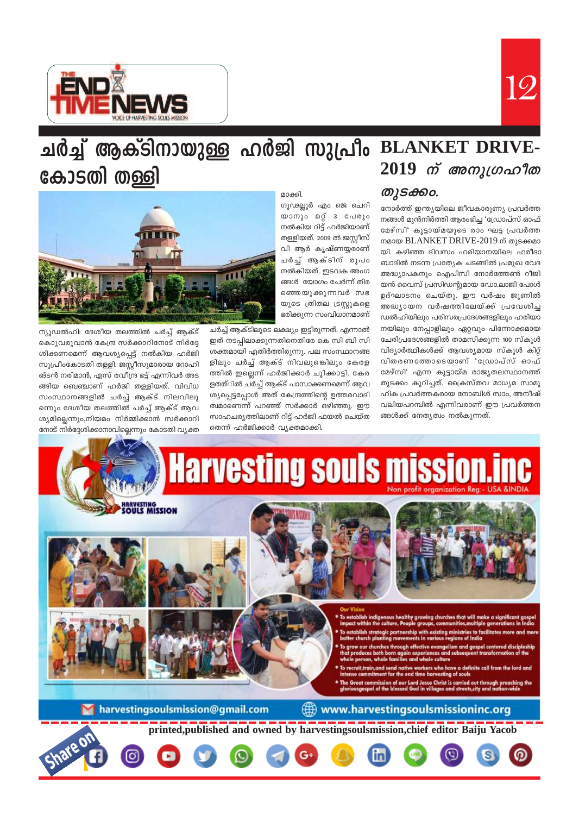



# ചർച്ച് ആക്ടിനായുള്ള ഹർജി സുപ്രീം BLANKET DRIVE- $2019$  ന് അനുഗ്രഹീത കോടതി തള്ളി

### തുടക്കം.

നോർത്ത് ഇന്ത്യയിലെ ജീവകാരുണ്യ പ്രവർത്ത നങ്ങൾ മുൻനിർത്തി ആരംഭിച്ച 'ഡ്രോപ്സ് ഓഫ് മേഴ്സി' കൂട്ടായ്മയുടെ രാം ഘട്ട പ്രവർത്ത നമായ BLANKET DRIVE-2019 ന് തുടക്കമാ യി. കഴിഞ്ഞ ദിവസം ഹരിയാനയിലെ ഫരീദാ ബാദിൽ നടന്ന പ്രത്യേക ചടങ്ങിൽ പ്രമുഖ വേദ അദ്ധ്യാപകനും ഐപിസി നോർത്തേൺ റീജി യൻ വൈസ് പ്രസിഡന്റുമായ ഡോ.ലാജി പോൾ ഉദ്ഘാടനം ചെയ്തു. ഈ വർഷം ജൂണിൽ അദ്ധ്യായന വർഷത്തിലേയ്ക്ക് പ്രവേശിച്ച ഡൽഹിയിലും പരിസരപ്രദേശങ്ങളിലും ഹരിയാ നയിലും നേപ്പാളിലും ഏറ്റവും പിന്നോക്കമായ ചേരിപ്രദേശങ്ങളിൽ താമസിക്കുന്ന 100 സ്കൂൾ വിദ്യാർത്ഥികൾക്ക് ആവശ്യമായ സ്കൂൾ കിറ്റ് വിതരണത്തോടെയാണ് 'ഡ്രോപ്സ് ഓഫ് മേഴ്സി' എന്ന കുട്ടായ്മ രാജ്യതലസ്ഥാനത്ത് തുടക്കം കൂറിച്ചത്. ക്രൈസ്തവ മാധ്യമ സാമൂ ഹിക പ്രവർത്തകരായ നോബിൾ സാം, അനീഷ് വലിയപറമ്പിൽ എന്നിവരാണ് ഈ പ്രവർത്തന ങ്ങൾക്ക് നേതൃത്വം നൽകുന്നത്.

#### മാക്കി.

ഗൂഢല്ലൂർ എം ജെ ചെറി യാനും മറ്റ് 3 പേരും നൽകിയ റിട്ട് ഹർജിയാണ് തള്ളിയത്. 2009 ൽ ജസ്റ്റീസ് വി ആർ കൃഷ്ണയ്യരാണ് ചർച്ച് ആക്ടിന് രൂപം നൽകിയത്. ഇടവക അംഗ ങ്ങൾ യോഗം ചേർന്ന് തിര ഞ്ഞെയുക്കുന്നവർ സഭ യുടെ ത്രിതല ട്രസ്റ്റുകളെ ഭരിക്കുന്ന സംവിധാനമാണ്

ചർച്ച് ആക്ടിലൂടെ ലക്ഷ്യം ഇട്ടിരുന്നത്. എന്നാൽ ഇത് നടപ്പിലാക്കുന്നതിനെതിരേ കെ സി ബി സി ശക്തമായി എതിർത്തിരുന്നു. പല സംസ്ഥാനങ്ങ ളിലും ചർച്ച് ആക്ട് നിവലുങ്കിെലും കേരള ത്തിൽ ഇല്ലെന്ന് ഹർജിക്കാർ ചൂിക്കാട്ടി. കേര ളതത്ിൽ ചർച്ച് ആക്ട് പാസാക്കണമെന്ന് ആവ ശ്യപ്പെട്ടപ്പോൾ അത് കേന്ദ്രത്തിന്റെ ഉത്തരവാദി ത്വമാണെന്ന് പറഞ്ഞ് സർക്കാർ ഒഴിഞ്ഞു. ഈ സാഹചര്യത്തിലാണ് റിട്ട് ഹർജി ഫയൽ ചെയ്ത തെന്ന് ഹർജിക്കാർ വ്യക്തമാക്കി.



ന്യൂഡൽഹി: ദേശീയ തലത്തിൽ ചർച്ച് ആക്ട് കൊുവരുവാൻ കേന്ദ്ര സർക്കാറിനോട് നിർദ്ദേ ശിക്കണമെന്ന് ആവശ്യപ്പെട്ട് നൽകിയ ഹർജി സുപ്രീംകോടതി തള്ളി. ജസ്ക്കീസുമാരായ റോഹി ങ്ടൻ നരിമാൻ, എസ് രവീന്ദ്ര ഭട്ട് എന്നിവർ അട ങ്ങിയ ബെഞ്ചാണ് ഹർജി തള്ളിയത്. വിവിധ സംസ്ഥാനങ്ങളിൽ ചർച്ച് ആക്ട് നിലവിലു ന്നെും ദേശീയ തലത്തിൽ ചർച്ച് ആക്ട് ആവ ശ്യമില്ലെന്നും,നിയമം നിർമ്മിക്കാൻ സർക്കാറി നോട് നിർദ്ദേശിക്കാനാവില്ലെന്നും കോടതി വ്യക്ത